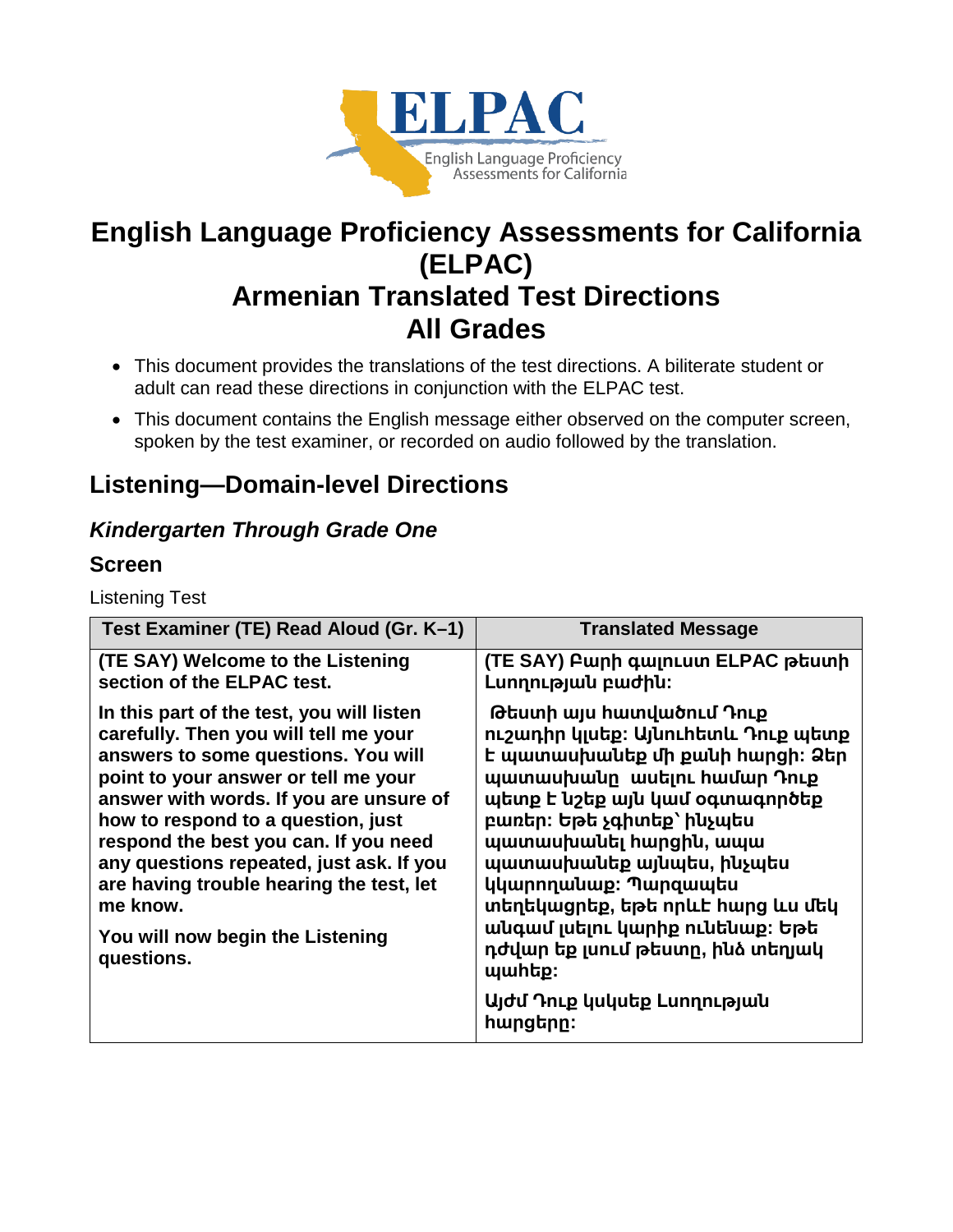

# **English Language Proficiency Assessments for California (ELPAC) Armenian Translated Test Directions All Grades**

- This document provides the translations of the test directions. A biliterate student or adult can read these directions in conjunction with the ELPAC test.
- This document contains the English message either observed on the computer screen, spoken by the test examiner, or recorded on audio followed by the translation.

# **Listening—Domain-level Directions**

# *Kindergarten Through Grade One*

### **Screen**

Listening Test

| Test Examiner (TE) Read Aloud (Gr. K-1)                                                                                                                                                                                                                                                                                                                                                                                                           | <b>Translated Message</b>                                                                                                                                                                                                                                                                                                                                                                                                                                    |
|---------------------------------------------------------------------------------------------------------------------------------------------------------------------------------------------------------------------------------------------------------------------------------------------------------------------------------------------------------------------------------------------------------------------------------------------------|--------------------------------------------------------------------------------------------------------------------------------------------------------------------------------------------------------------------------------------------------------------------------------------------------------------------------------------------------------------------------------------------------------------------------------------------------------------|
| (TE SAY) Welcome to the Listening<br>section of the ELPAC test.                                                                                                                                                                                                                                                                                                                                                                                   | (TE SAY) Բարի գալուստ ELPAC թեստի<br>Lunnnup juul puud hu:                                                                                                                                                                                                                                                                                                                                                                                                   |
| In this part of the test, you will listen<br>carefully. Then you will tell me your<br>answers to some questions. You will<br>point to your answer or tell me your<br>answer with words. If you are unsure of<br>how to respond to a question, just<br>respond the best you can. If you need<br>any questions repeated, just ask. If you<br>are having trouble hearing the test, let<br>me know.<br>You will now begin the Listening<br>questions. | Թեստի այս հատվածում Դուք<br>ուշադիր կլսեք։ Այնուհետև Դուք պետք<br>է պատասխանեք մի քանի հարցի։ Ձեր<br>պատասխանը ասելու համար Դուք<br>պետք է նշեք այն կամ օգտագործեք<br>բառեր։ Եթե չգիտեք՝ ինչպես<br>պատասխանել hարցին, ապա<br>պատասխանեք այնպես, ինչպես<br>կկարողանաք։ Պարզապես<br>տեղեկացրեք, եթե որևէ հարց ևս մեկ<br>անգամ լսելու կարիք ունենաք։ Եթե<br>դժվար եք լսում թեստը, ինձ տեղյակ<br><b>wwhtp:</b><br>Այժմ Դուք կսկսեք Լսողության<br><u>hարցերը։</u> |
|                                                                                                                                                                                                                                                                                                                                                                                                                                                   |                                                                                                                                                                                                                                                                                                                                                                                                                                                              |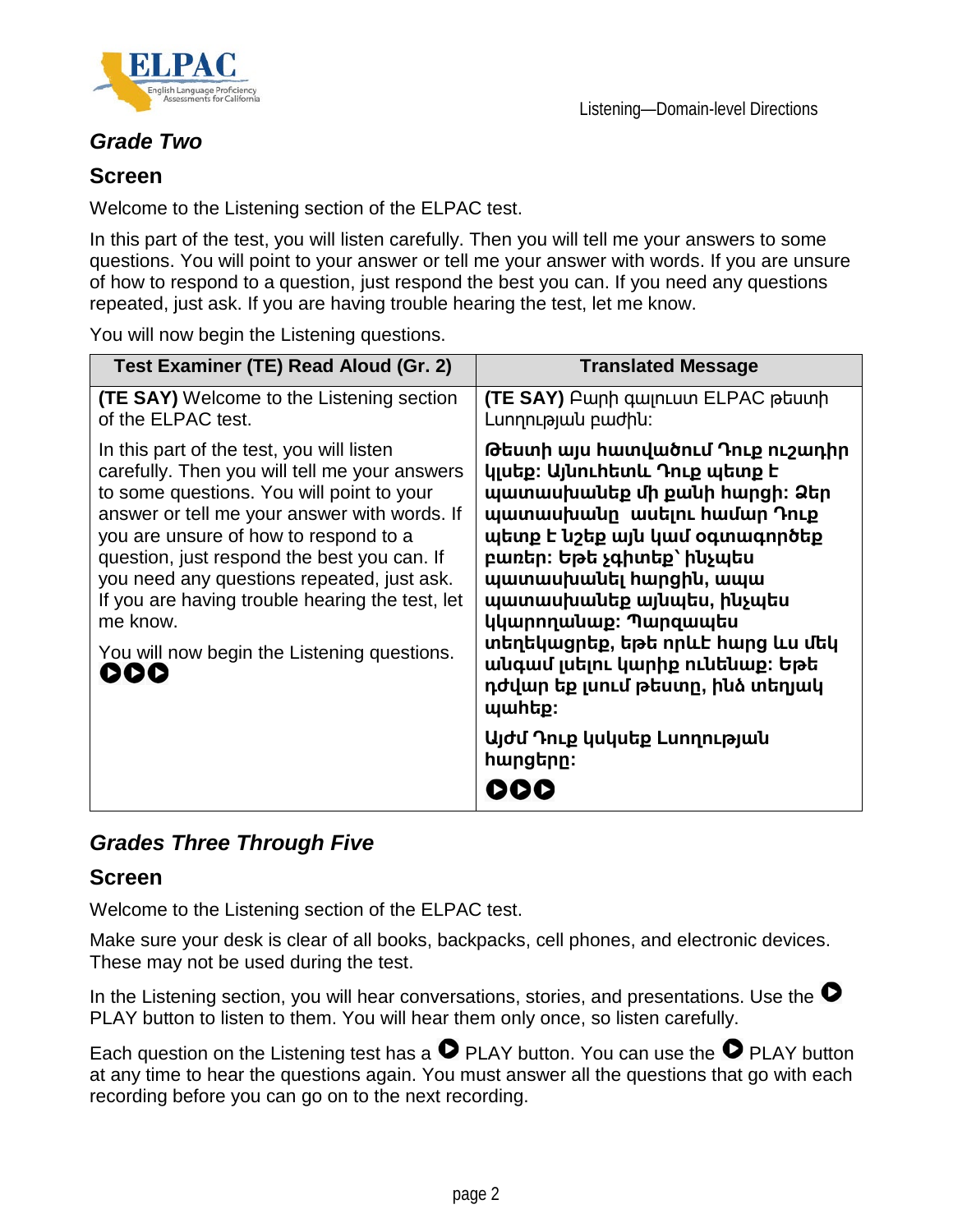



### *Grade Two*

#### **Screen**

Welcome to the Listening section of the ELPAC test.

In this part of the test, you will listen carefully. Then you will tell me your answers to some questions. You will point to your answer or tell me your answer with words. If you are unsure of how to respond to a question, just respond the best you can. If you need any questions repeated, just ask. If you are having trouble hearing the test, let me know.

You will now begin the Listening questions.

| Test Examiner (TE) Read Aloud (Gr. 2)                                                                                                                                                                                                                                                                                                                                                                                                              | <b>Translated Message</b>                                                                                                                                                                                                                                                                                                                                                                                                                             |
|----------------------------------------------------------------------------------------------------------------------------------------------------------------------------------------------------------------------------------------------------------------------------------------------------------------------------------------------------------------------------------------------------------------------------------------------------|-------------------------------------------------------------------------------------------------------------------------------------------------------------------------------------------------------------------------------------------------------------------------------------------------------------------------------------------------------------------------------------------------------------------------------------------------------|
| <b>(TE SAY)</b> Welcome to the Listening section<br>of the ELPAC test.                                                                                                                                                                                                                                                                                                                                                                             | <b>(TE SAY)</b> Բարի գալուստ ELPAC թեստի<br>Lunnnւթյան բաժին:                                                                                                                                                                                                                                                                                                                                                                                         |
| In this part of the test, you will listen<br>carefully. Then you will tell me your answers<br>to some questions. You will point to your<br>answer or tell me your answer with words. If<br>you are unsure of how to respond to a<br>question, just respond the best you can. If<br>you need any questions repeated, just ask.<br>If you are having trouble hearing the test, let<br>me know.<br>You will now begin the Listening questions.<br>DDD | Թեստի այս հատվածում Դուք ուշադիր<br>կյսեք։ Այնուհետև Դուք պետք է<br>պատասխանեք մի քանի հարցի։ Ձեր<br>պատասխանը ասելու համար Դուք<br>պետք է նշեք այն կամ օգտագործեք<br>բառեր։ Եթե չգիտեք՝ ինչպես<br>պատասխանել hարցին, ապա<br>պատասխանեք այնպես, ինչպես<br>կկարողանաք։ Պարզապես<br>տեղեկացրեք, եթե որևէ հարց ևս մեկ<br>անգամ լսելու կարիք ունենաք։ Եթե<br>դժվար եք լսում թեստը, ինձ տեղյակ<br>պաիեք։<br>Այժմ Դուք կսկսեք Lunղության<br><u>hարցերը։</u> |

### *Grades Three Through Five*

#### **Screen**

Welcome to the Listening section of the ELPAC test.

Make sure your desk is clear of all books, backpacks, cell phones, and electronic devices. These may not be used during the test.

In the Listening section, you will hear conversations, stories, and presentations. Use the  $\bullet$ PLAY button to listen to them. You will hear them only once, so listen carefully.

Each question on the Listening test has a  $\bullet$  PLAY button. You can use the  $\bullet$  PLAY button at any time to hear the questions again. You must answer all the questions that go with each recording before you can go on to the next recording.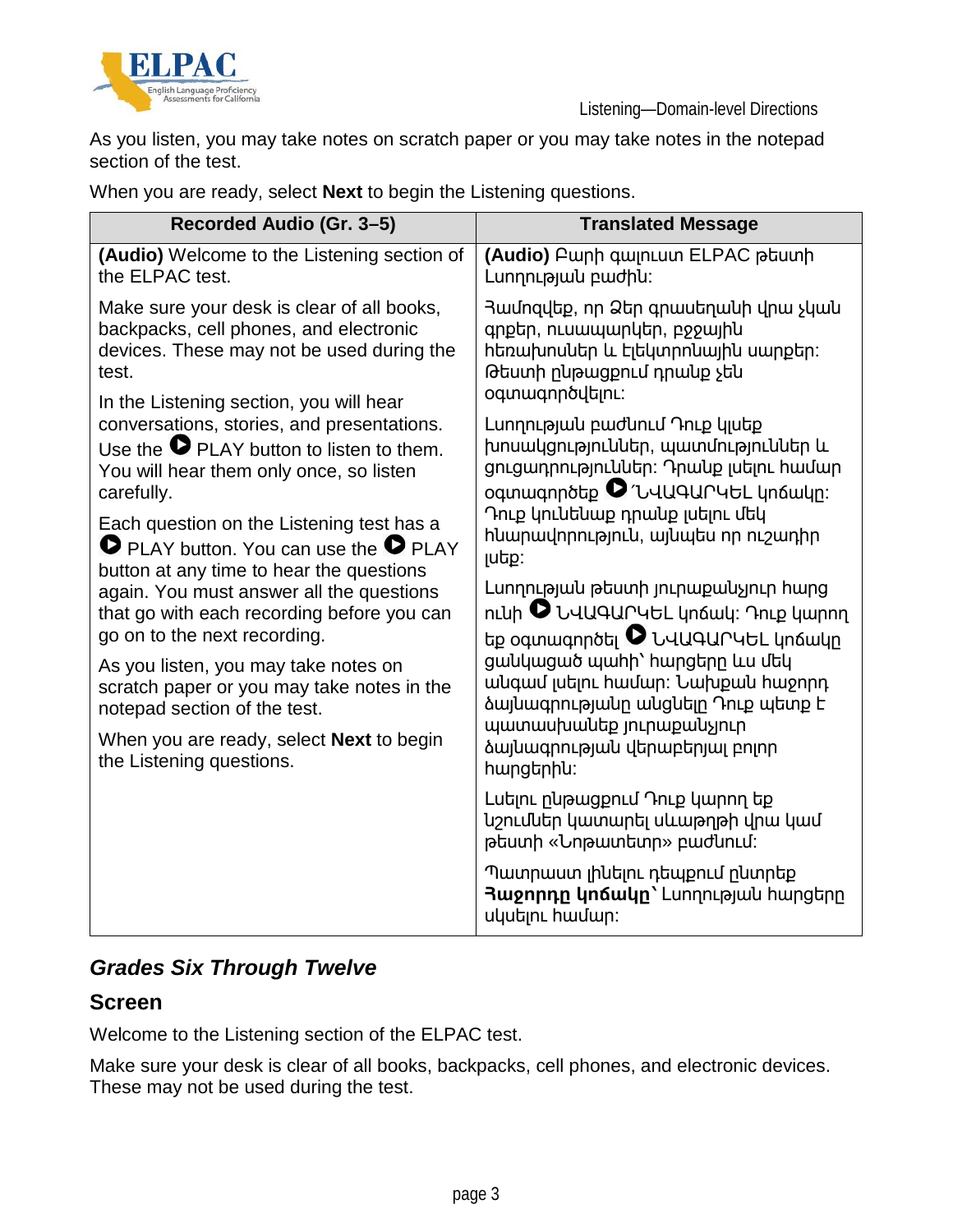

As you listen, you may take notes on scratch paper or you may take notes in the notepad section of the test.

When you are ready, select **Next** to begin the Listening questions.

| Recorded Audio (Gr. 3-5)                                                                                                                                                                                                                                                                                 | <b>Translated Message</b>                                                                                                                                                                                                               |
|----------------------------------------------------------------------------------------------------------------------------------------------------------------------------------------------------------------------------------------------------------------------------------------------------------|-----------------------------------------------------------------------------------------------------------------------------------------------------------------------------------------------------------------------------------------|
| (Audio) Welcome to the Listening section of<br>the ELPAC test.                                                                                                                                                                                                                                           | (Audio) Բարի գալուստ ELPAC թեստի<br>LunnnLpulu pwdhu:                                                                                                                                                                                   |
| Make sure your desk is clear of all books,<br>backpacks, cell phones, and electronic<br>devices. These may not be used during the<br>test.                                                                                                                                                               | Յամոզվեք, որ Ձեր գրասեղանի վրա չկան<br>գրքեր, ուսապարկեր, բջջային<br>հեռախոսներ և էլեկտրոնային սարքեր։<br>Թեստի ընթացքում դրանք չեն<br>oqunwqnnoyutinL:                                                                                 |
| In the Listening section, you will hear<br>conversations, stories, and presentations.<br>Use the $\bullet$ PLAY button to listen to them.<br>You will hear them only once, so listen<br>carefully.<br>Each question on the Listening test has a<br>$\bullet$ PLAY button. You can use the $\bullet$ PLAY | Lunnnւթյան բաժնում Դուք կյսեք<br>խոսակցություններ, պատմություններ և<br>ցուցադրություններ։ Դրանք լսելու համար<br>oqunuuqnnotip V 'UUUQUrutL un6wun:<br>Դուք կունենաք դրանք լսելու մեկ<br>huunuuunnnuanuu, wuuutu nn nuyunhn<br>$ $ utip: |
| button at any time to hear the questions<br>again. You must answer all the questions<br>that go with each recording before you can<br>go on to the next recording.                                                                                                                                       | Lunnnւթյան թեստի յուրաքանչյուր hարց<br>nւնի D ՆՎԱԳԱՐԿԵԼ կոճակ։ Դուք կարող<br>եք օգտագործել <sup>1</sup> ՆՎԱԳԱՐԿԵԼ կոճակը                                                                                                                |
| As you listen, you may take notes on<br>scratch paper or you may take notes in the<br>notepad section of the test.                                                                                                                                                                                       | ցանկացած պահի՝ հարցերը ևս մեկ<br>անգամ լսելու համար։ Նախքան հաջորդ<br>ծայնագրությանը անցնելը Դուք պետք է<br>պատասխանեք յուրաքանչյուր                                                                                                    |
| When you are ready, select <b>Next</b> to begin<br>the Listening questions.                                                                                                                                                                                                                              | <b><i><u><b>Δ</b>wjuwqnnLpjwu վերաբեր</u></i>յալ բոլոր</b><br>hwngtnhu:                                                                                                                                                                 |
|                                                                                                                                                                                                                                                                                                          | Lutinu nupwgpnul Դուք կարող եք<br>նշումներ կատարել սևաթղթի վրա կամ<br>ptuunh «Նոթատետր» բաժնում։                                                                                                                                        |
|                                                                                                                                                                                                                                                                                                          | Պատրաստ լինելու դեպքում ընտրեք<br>Rugnnnn կոճակը` Lunnnւթյան hարցերը<br>uկuելnւ hամար:                                                                                                                                                  |

### *Grades Six Through Twelve*

#### **Screen**

Welcome to the Listening section of the ELPAC test.

Make sure your desk is clear of all books, backpacks, cell phones, and electronic devices. These may not be used during the test.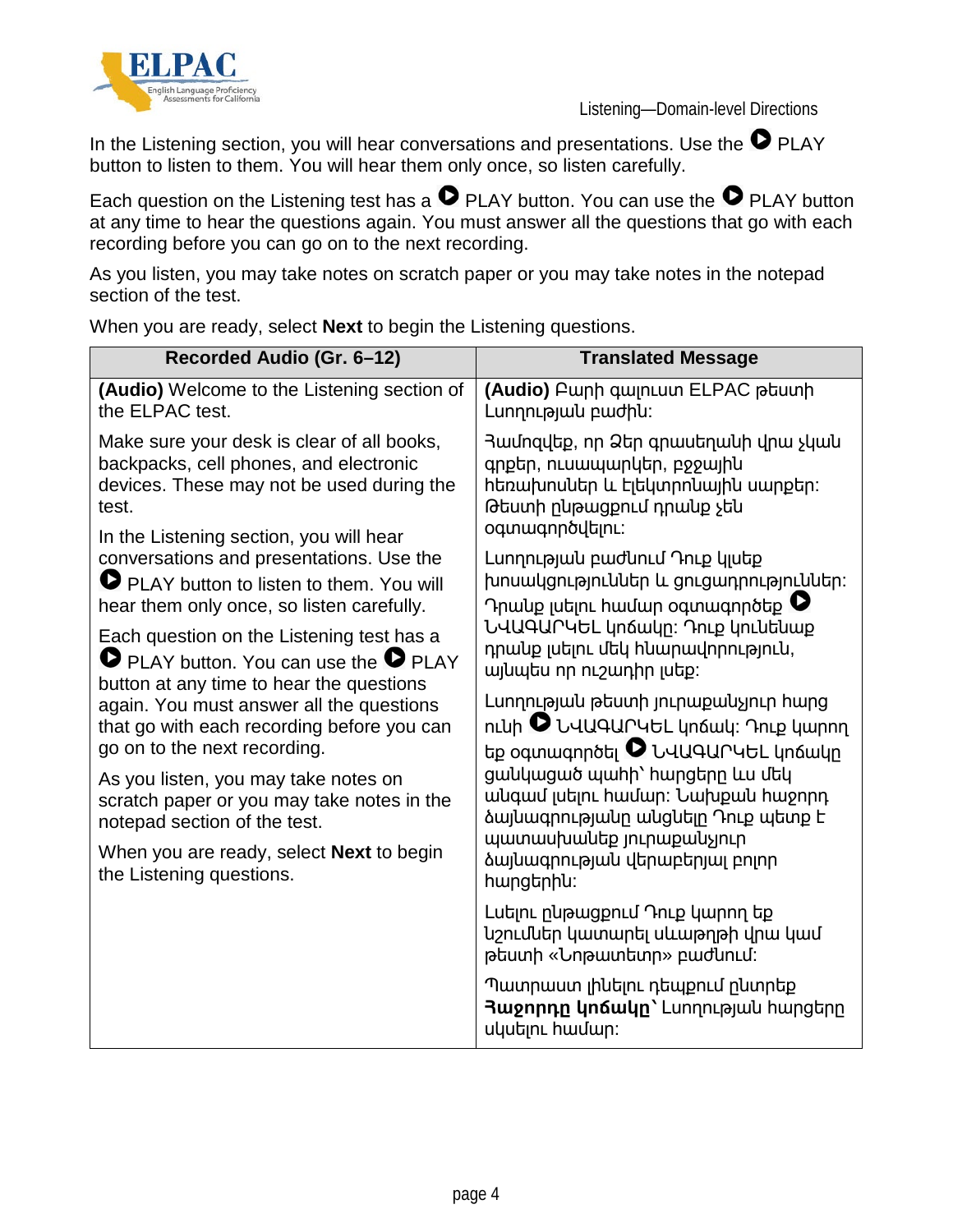

In the Listening section, you will hear conversations and presentations. Use the  $\bullet$  PLAY button to listen to them. You will hear them only once, so listen carefully.

Each question on the Listening test has a  $\bullet$  PLAY button. You can use the  $\bullet$  PLAY button at any time to hear the questions again. You must answer all the questions that go with each recording before you can go on to the next recording.

As you listen, you may take notes on scratch paper or you may take notes in the notepad section of the test.

**Recorded Audio (Gr. 6–12) Translated Message (Audio)** Welcome to the Listening section of the ELPAC test. Make sure your desk is clear of all books, backpacks, cell phones, and electronic devices. These may not be used during the test. In the Listening section, you will hear conversations and presentations. Use the **PLAY button to listen to them. You will** hear them only once, so listen carefully. Each question on the Listening test has a **PLAY button. You can use the O PLAY** button at any time to hear the questions again. You must answer all the questions that go with each recording before you can go on to the next recording. As you listen, you may take notes on scratch paper or you may take notes in the notepad section of the test. When you are ready, select **Next** to begin the Listening questions. **(Audio)** Բարի գալուստ ELPAC թեստի Լսողության բաժին։ Համոզվեք, որ Ձեր գրասեղանի վրա չկան գրքեր, ուսապարկեր, բջջային հեռախոսներ և էլեկտրոնային սարքեր: Թեստի ընթացքում դրանք չեն օգտագործվելու։ Լսողության բաժնում Դուք կլսեք խոսակցություններ և ցուցադրություններ։ Դրանք լսելու համար օգտագործեք  $\bullet$ ՆՎԱԳԱՐԿԵԼ կոճակը։ Դուք կունենաք դրանք լսելու մեկ հնարավորություն, այնպես որ ուշադիր լսեք։ Լսողության թեստի յուրաքանչյուր հարց ունի ՆՎԱԳԱՐԿԵԼ կոճակ։ Դուք կարող եք օգտագործել  $\bullet$  ՆՎԱԳԱՐԿԵԼ կոճակը ցանկացած պահի՝ հարցերը ևս մեկ անգամ լսելու համար։ Նախքան հաջորդ ձայնագրությանը անցնելը Դուք պետք է պատասխանեք յուրաքանչյուր ձայնագրության վերաբերյալ բոլոր հարցերին։ Լսելու ընթացքում Դուք կարող եք նշումներ կատարել սևաթղթի վրա կամ թեստի «Նոթատետր» բաժնում։ Պատրաստ լինելու դեպքում ընտրեք **Հաջորդը կոճակը՝** Լսողության հարցերը սկսելու համար։

When you are ready, select **Next** to begin the Listening questions.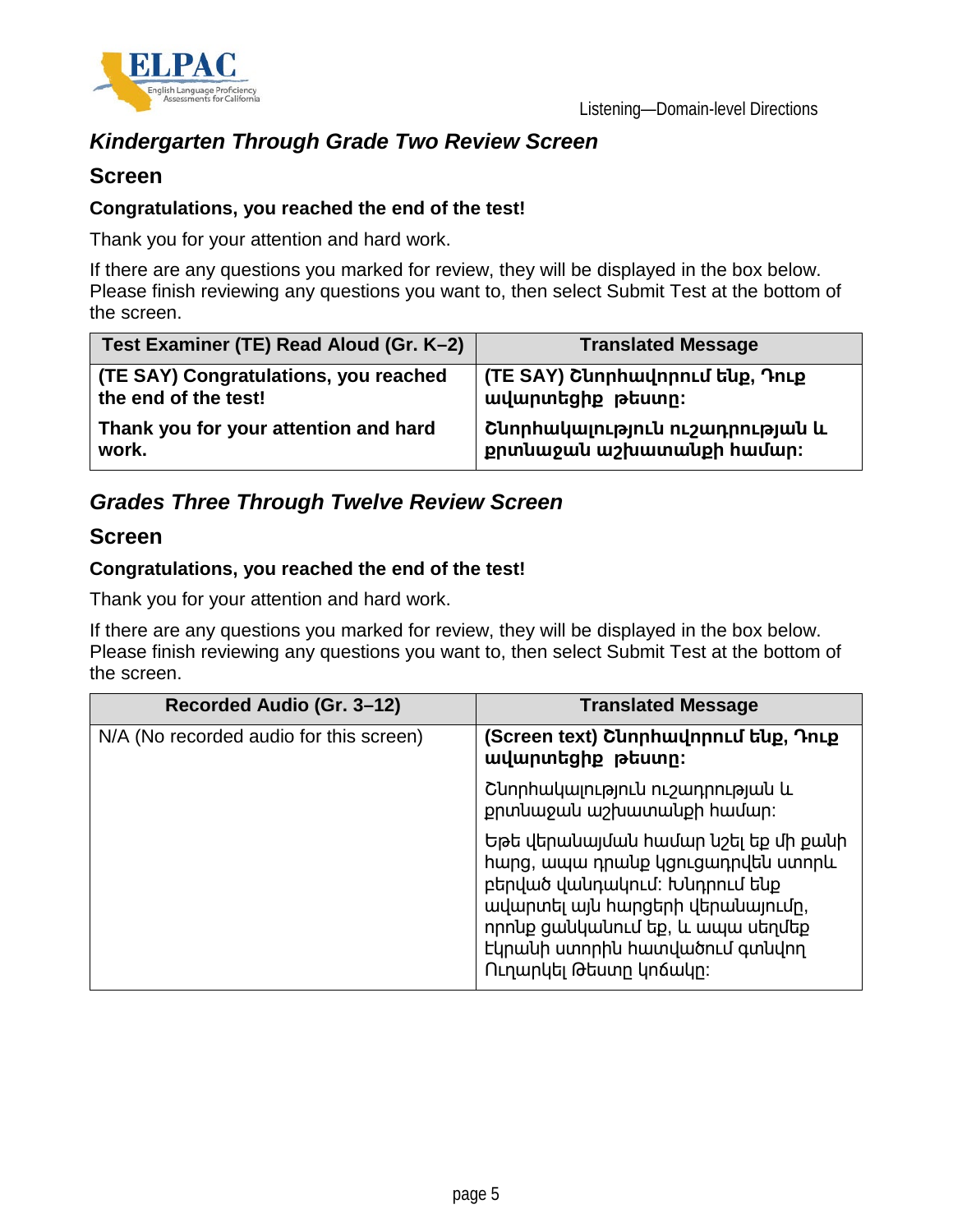![](_page_4_Picture_0.jpeg)

### *Kindergarten Through Grade Two Review Screen*

#### **Screen**

#### **Congratulations, you reached the end of the test!**

Thank you for your attention and hard work.

If there are any questions you marked for review, they will be displayed in the box below. Please finish reviewing any questions you want to, then select Submit Test at the bottom of the screen.

| Test Examiner (TE) Read Aloud (Gr. K-2) | <b>Translated Message</b>       |
|-----------------------------------------|---------------------------------|
| (TE SAY) Congratulations, you reached   | (TE SAY) Շևորհավորում ենք, Դուք |
| the end of the test!                    | ավարտեցիք թեստր։                |
| Thank you for your attention and hard   | Շևորհակալություն ուշադրության և |
| work.                                   | քրտնաջան աշխատանքի համար։       |

### *Grades Three Through Twelve Review Screen*

#### **Screen**

#### **Congratulations, you reached the end of the test!**

Thank you for your attention and hard work.

If there are any questions you marked for review, they will be displayed in the box below. Please finish reviewing any questions you want to, then select Submit Test at the bottom of the screen.

| Recorded Audio (Gr. 3–12)               | <b>Translated Message</b>                                                                                                                                                                                                                      |
|-----------------------------------------|------------------------------------------------------------------------------------------------------------------------------------------------------------------------------------------------------------------------------------------------|
| N/A (No recorded audio for this screen) | (Screen text) CunnhwunnnLu եup, Դուք<br>ավարտեցիք թեստը:                                                                                                                                                                                       |
|                                         | Cunnhwywinteintu ntamphrieumu u<br>քրտնաջան աշխատանքի համար։                                                                                                                                                                                   |
|                                         | Եթե վերանալման համար նշել եք մի քանի<br>hwng, ապա դրանք կցուցադրվեն ստորև<br>բերված վանդակում: Խնդրում ենք<br>ավարտել այն հարցերի վերանայումը,<br>որոնք ցանկանում եք, և ապա սեղմեք<br>Եկրանի ստորին հատվածում գտնվող<br>Ուղարկել Թեստր կոճակը։ |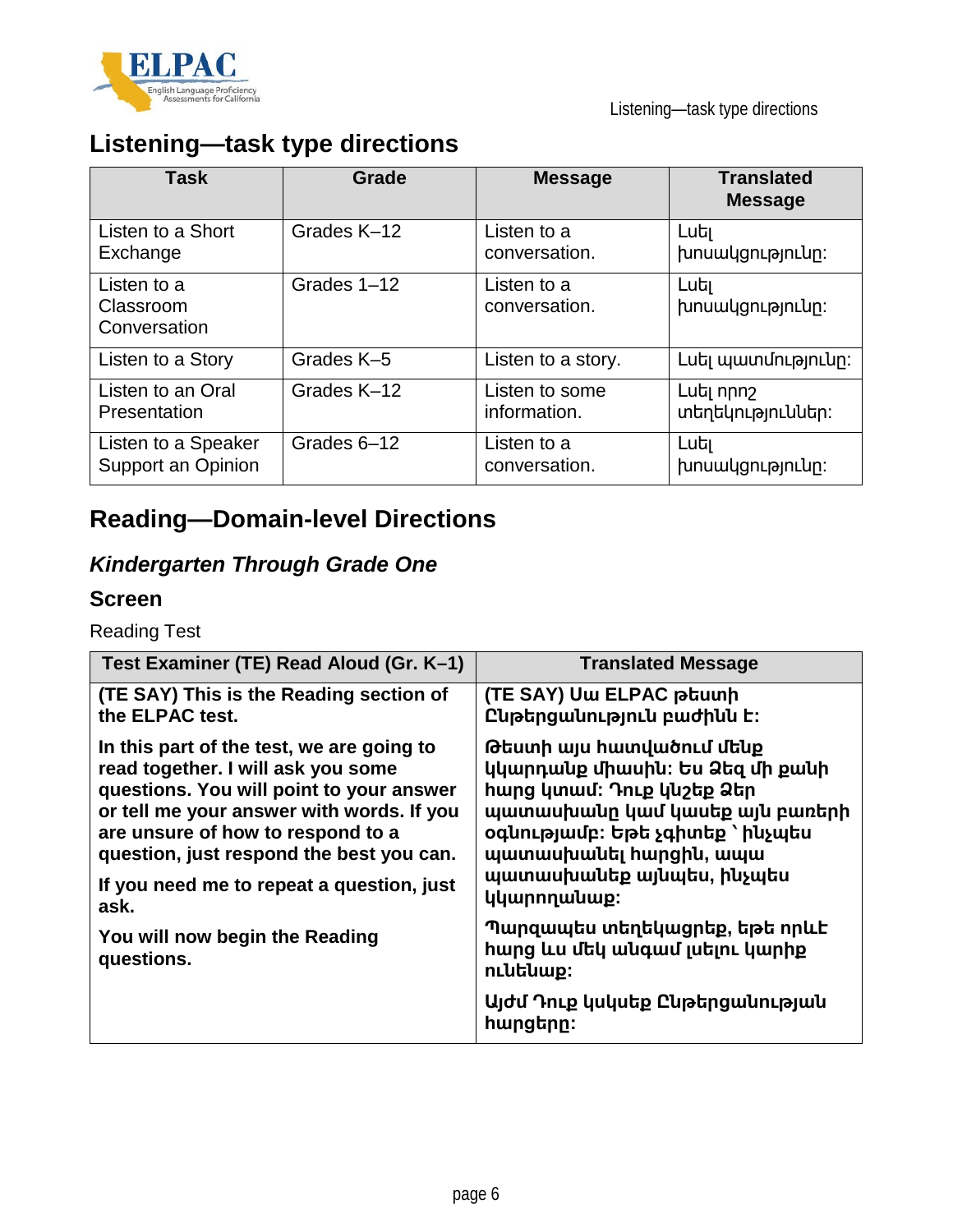![](_page_5_Picture_0.jpeg)

# **Listening—task type directions**

| <b>Task</b>                              | Grade       | <b>Message</b>               | <b>Translated</b><br><b>Message</b> |
|------------------------------------------|-------------|------------------------------|-------------------------------------|
| Listen to a Short                        | Grades K-12 | Listen to a                  | Luti                                |
| Exchange                                 |             | conversation.                | խոսակցությունը:                     |
| Listen to a<br>Classroom<br>Conversation | Grades 1-12 | Listen to a<br>conversation. | Luti<br>խոսակցությունը:             |
| Listen to a Story                        | Grades K-5  | Listen to a story.           | Luti պատմությունը:                  |
| Listen to an Oral                        | Grades K-12 | Listen to some               | Lut npnշ                            |
| Presentation                             |             | information.                 | տեղեկություններ։                    |
| Listen to a Speaker                      | Grades 6-12 | Listen to a                  | Luti                                |
| Support an Opinion                       |             | conversation.                | խոսակցությունը:                     |

# **Reading—Domain-level Directions**

### *Kindergarten Through Grade One*

### **Screen**

Reading Test

| Test Examiner (TE) Read Aloud (Gr. K-1)      | <b>Translated Message</b>                                                           |
|----------------------------------------------|-------------------------------------------------------------------------------------|
| (TE SAY) This is the Reading section of      | (TE SAY) Uw ELPAC ptuunh                                                            |
| the ELPAC test.                              | Ընթերցանություն բաժինն է:                                                           |
| In this part of the test, we are going to    | Թեստի այս հատվածում մենք                                                            |
| read together. I will ask you some           | կկարդանք միասին։ Ես Ձեզ մի քանի                                                     |
| questions. You will point to your answer     | <b>h</b> ung կտամ: Դուք կնշեք Ձեր                                                   |
| or tell me your answer with words. If you    | պատասխանը կամ կասեք այն բառերի                                                      |
| are unsure of how to respond to a            | oqunւթյամբ։ Եթե չգիտեք `ինչպես                                                      |
| question, just respond the best you can.     | պատասխանել hարցին, ապա                                                              |
| If you need me to repeat a question, just    | պատասխանեք այնպես, ինչպես                                                           |
| ask.                                         | կկարողանաք։                                                                         |
| You will now begin the Reading<br>questions. | Պարզապես տեղեկացրեք, եթե որևէ<br><b>h</b> ung ևս մեկ անգամ լսելու կարիք<br>nւնենաք։ |
|                                              | Այժմ Դուք կսկսեք Ընթերցանության<br>hարցերը։                                         |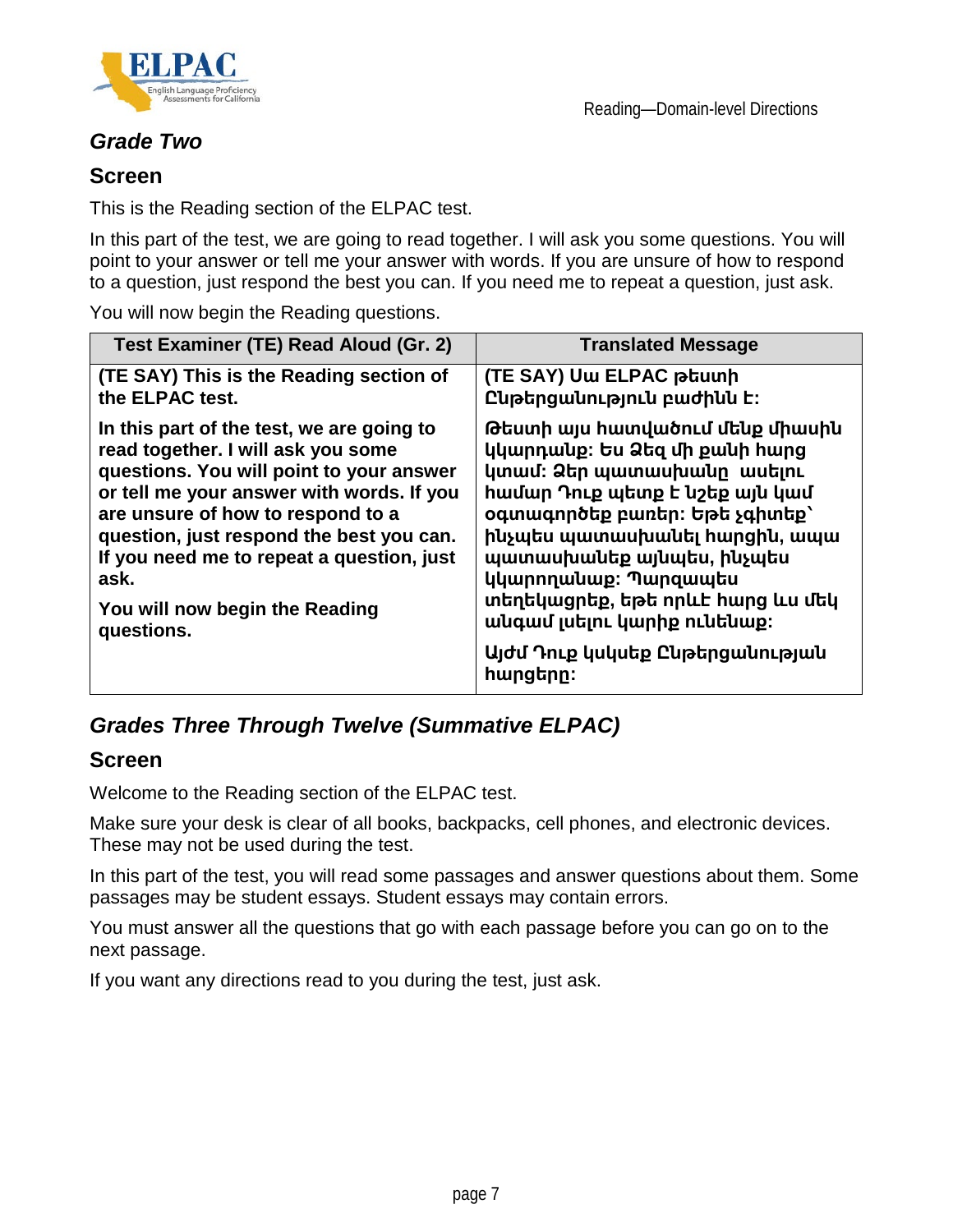![](_page_6_Picture_0.jpeg)

### *Grade Two*

#### **Screen**

This is the Reading section of the ELPAC test.

In this part of the test, we are going to read together. I will ask you some questions. You will point to your answer or tell me your answer with words. If you are unsure of how to respond to a question, just respond the best you can. If you need me to repeat a question, just ask.

You will now begin the Reading questions.

| Test Examiner (TE) Read Aloud (Gr. 2)                                                                                                                                                                                                                                                                                                                          | <b>Translated Message</b>                                                                                                                                                                                                                                                                                                                                                         |
|----------------------------------------------------------------------------------------------------------------------------------------------------------------------------------------------------------------------------------------------------------------------------------------------------------------------------------------------------------------|-----------------------------------------------------------------------------------------------------------------------------------------------------------------------------------------------------------------------------------------------------------------------------------------------------------------------------------------------------------------------------------|
| (TE SAY) This is the Reading section of<br>the ELPAC test.                                                                                                                                                                                                                                                                                                     | (TE SAY) Uw ELPAC ptuunh<br>Ընթերցանություն բաժինն է:                                                                                                                                                                                                                                                                                                                             |
| In this part of the test, we are going to<br>read together. I will ask you some<br>questions. You will point to your answer<br>or tell me your answer with words. If you<br>are unsure of how to respond to a<br>question, just respond the best you can.<br>If you need me to repeat a question, just<br>ask.<br>You will now begin the Reading<br>questions. | Թեստի այս հատվածում մենք միասին<br>կկարդանք։ Ես Ձեզ մի քանի հարց<br>կտամ։ Ձեր պատասխանը ասելու<br><b>hամար Դուք պետք է նշեք այն կամ</b><br>oqunuqnnotp puntn: tpt չգիտեք`<br>ինչպես պատասխանել հարցին, ապա<br>պատասխանեք այնպես, ինչպես<br>կկարողանաք։ Պարզապես<br>տեղեկացրեք, եթե որևէ հարց ևս մեկ<br>անգամ լսելու կարիք ունենաք:<br>Այժմ Դուք կսկսեք Ընթերցանության<br>hարցերը։ |

### *Grades Three Through Twelve (Summative ELPAC)*

#### **Screen**

Welcome to the Reading section of the ELPAC test.

Make sure your desk is clear of all books, backpacks, cell phones, and electronic devices. These may not be used during the test.

In this part of the test, you will read some passages and answer questions about them. Some passages may be student essays. Student essays may contain errors.

You must answer all the questions that go with each passage before you can go on to the next passage.

If you want any directions read to you during the test, just ask.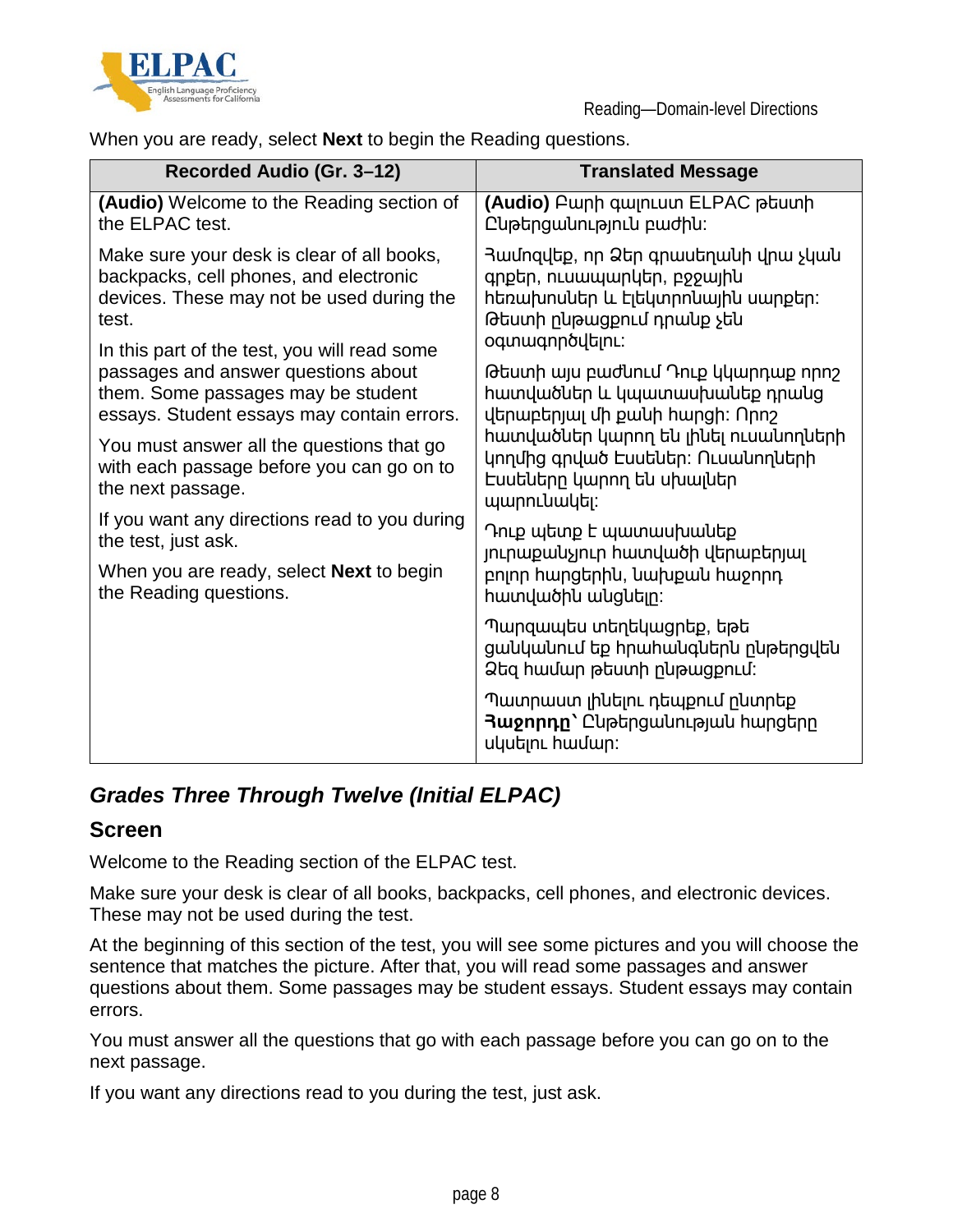![](_page_7_Picture_0.jpeg)

When you are ready, select **Next** to begin the Reading questions.

| Recorded Audio (Gr. 3-12)                                                                                   | <b>Translated Message</b>                                                                                             |
|-------------------------------------------------------------------------------------------------------------|-----------------------------------------------------------------------------------------------------------------------|
| (Audio) Welcome to the Reading section of                                                                   | (Audio) Բարի գալուստ ELPAC թեստի                                                                                      |
| the ELPAC test.                                                                                             | Ընթերցանություն բաժին:                                                                                                |
| Make sure your desk is clear of all books,                                                                  | Յամոզվեք, որ Ձեր գրասեղանի վրա չկան                                                                                   |
| backpacks, cell phones, and electronic                                                                      | գրքեր, ուսապարկեր, բջջային                                                                                            |
| devices. These may not be used during the                                                                   | հեռախոսներ և էլեկտրոնային սարքեր։                                                                                     |
| test.                                                                                                       | Թեստի ընթացքում դրանք չեն                                                                                             |
| In this part of the test, you will read some                                                                | oqunwqnnoyutinL:                                                                                                      |
| passages and answer questions about                                                                         | Թեստի այս բաժնում Դուք կկարդաք որոշ                                                                                   |
| them. Some passages may be student                                                                          | հատվածներ և կպատասխանեք դրանց                                                                                         |
| essays. Student essays may contain errors.                                                                  | վերաբերյալ մի քանի հարցի։ Որոշ                                                                                        |
| You must answer all the questions that go<br>with each passage before you can go on to<br>the next passage. | հատվածներ կարող են լինել ուսանողների<br>կողմից գրված Էսսեներ։ Ուսանողների<br>Եսսեները կարող են սխալներ<br>պարունակել։ |
| If you want any directions read to you during                                                               | Դուք պետք է պատասխանեք                                                                                                |
| the test, just ask.                                                                                         | յուրաքանչյուր հատվածի վերաբերյալ                                                                                      |
| When you are ready, select <b>Next</b> to begin                                                             | բոլոր հարցերին, նախքան հաջորդ                                                                                         |
| the Reading questions.                                                                                      | hատվածին անցնելը:                                                                                                     |
|                                                                                                             | Պարզապես տեղեկացրեք, եթե<br>ցանկանում եք հրահանգներն ընթերցվեն<br>Ձեզ համար թեստի ընթացքում։                          |
|                                                                                                             | Պատրաստ լինելու դեպքում ընտրեք<br>Rugnnnn <sup>'</sup> Cuptngwuntpluu hwngtnn<br>uyutinu hwuwn:                       |

### *Grades Three Through Twelve (Initial ELPAC)*

#### **Screen**

Welcome to the Reading section of the ELPAC test.

Make sure your desk is clear of all books, backpacks, cell phones, and electronic devices. These may not be used during the test.

At the beginning of this section of the test, you will see some pictures and you will choose the sentence that matches the picture. After that, you will read some passages and answer questions about them. Some passages may be student essays. Student essays may contain errors.

You must answer all the questions that go with each passage before you can go on to the next passage.

If you want any directions read to you during the test, just ask.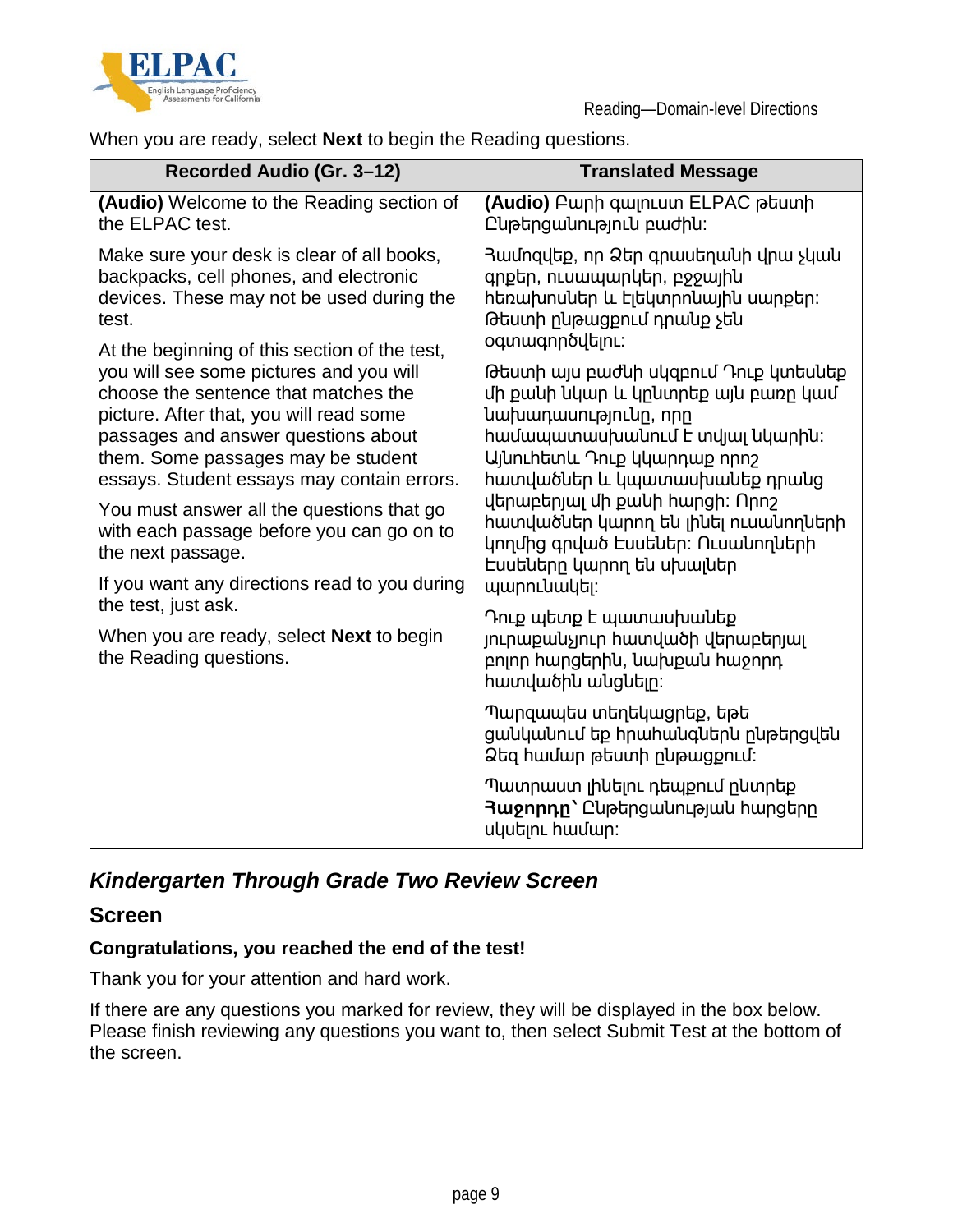![](_page_8_Picture_0.jpeg)

When you are ready, select **Next** to begin the Reading questions.

| Recorded Audio (Gr. 3-12)                                                 | <b>Translated Message</b>                                                                                        |
|---------------------------------------------------------------------------|------------------------------------------------------------------------------------------------------------------|
| (Audio) Welcome to the Reading section of                                 | (Audio) Բարի գալուստ ELPAC թեստի                                                                                 |
| the ELPAC test.                                                           | Ըկթերցակություն բաժին:                                                                                           |
| Make sure your desk is clear of all books,                                | Յամոզվեք, որ Ձեր գրասեղանի վրա չկան                                                                              |
| backpacks, cell phones, and electronic                                    | գրքեր, ուսապարկեր, բջջային                                                                                       |
| devices. These may not be used during the                                 | հեռախոսներ և էլեկտրոնային սարքեր։                                                                                |
| test.                                                                     | Թեստի ընթացքում դրանք չեն                                                                                        |
| At the beginning of this section of the test,                             | oqunwqnnoyutinL:                                                                                                 |
| you will see some pictures and you will                                   | Թեստի այս բաժնի սկզբում Դուք կտեսնեք                                                                             |
| choose the sentence that matches the                                      | մի քանի նկար և կընտրեք այն բառը կամ                                                                              |
| picture. After that, you will read some                                   | նախադասությունը, որը                                                                                             |
| passages and answer questions about                                       | hամապատասխանում է տվյալ նկարին:                                                                                  |
| them. Some passages may be student                                        | UjunLhtunu Դուք կկարդաք որոշ                                                                                     |
| essays. Student essays may contain errors.                                | հատվածներ և կպատասխանեք դրանց                                                                                    |
| You must answer all the questions that go                                 | վերաբերյալ մի քանի հարցի։ Որոշ                                                                                   |
| with each passage before you can go on to                                 | հատվածներ կարող են լինել ուսանողների                                                                             |
| the next passage.                                                         | կողմից գրված Euututun: Ուսանողների                                                                               |
| If you want any directions read to you during                             | Եսսեները կարող են սխալներ                                                                                        |
| the test, just ask.                                                       | պարունակել։                                                                                                      |
| When you are ready, select <b>Next</b> to begin<br>the Reading questions. | Դուք պետք է պատասխանեք<br>յուրաքանչյուր հատվածի վերաբերյալ<br>բոլոր հարցերին, նախքան հաջորդ<br>hատվածին անցնելը: |
|                                                                           | Պարզապես տեղեկացրեք, եթե<br>ցանկանում եք հրահանգներն ընթերցվեն<br>Ձեզ համար թեստի ընթացքում։                     |
|                                                                           | Պատրաստ լինելու դեպքում ընտրեք<br>Rugnnnn <sup>'</sup> Cuptngwuntpuuu hwngtnn<br>uկuելnւ hամար:                  |

### *Kindergarten Through Grade Two Review Screen*

#### **Screen**

#### **Congratulations, you reached the end of the test!**

Thank you for your attention and hard work.

If there are any questions you marked for review, they will be displayed in the box below. Please finish reviewing any questions you want to, then select Submit Test at the bottom of the screen.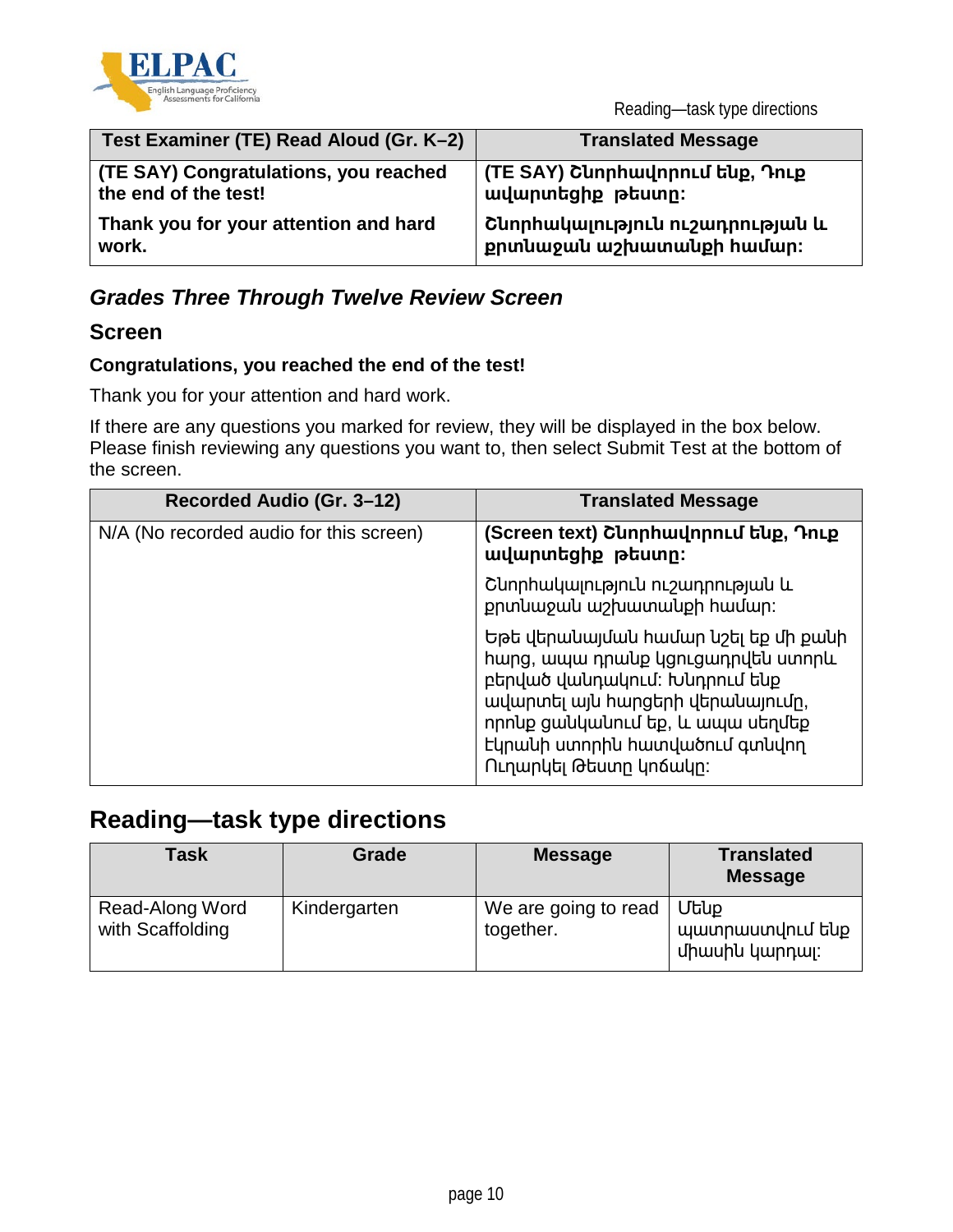![](_page_9_Picture_0.jpeg)

Reading—task type directions

| Test Examiner (TE) Read Aloud (Gr. K-2) | <b>Translated Message</b>       |
|-----------------------------------------|---------------------------------|
| (TE SAY) Congratulations, you reached   | (TE SAY) Շնորհավորում ենք, Դուք |
| the end of the test!                    | wuununtighp ptuunn:             |
| Thank you for your attention and hard   | Շնորհակալություն ուշադրության և |
| work.                                   | քրտնաջան աշխատանքի համար։       |

### *Grades Three Through Twelve Review Screen*

### **Screen**

#### **Congratulations, you reached the end of the test!**

Thank you for your attention and hard work.

If there are any questions you marked for review, they will be displayed in the box below. Please finish reviewing any questions you want to, then select Submit Test at the bottom of the screen.

| Recorded Audio (Gr. 3-12)               | <b>Translated Message</b>                                                                                                                                                                                                                      |
|-----------------------------------------|------------------------------------------------------------------------------------------------------------------------------------------------------------------------------------------------------------------------------------------------|
| N/A (No recorded audio for this screen) | (Screen text) Շևորհավորում ենք, Դուք<br>ավարտեցիք թեստը։                                                                                                                                                                                       |
|                                         | Շևորհակալություն ուշադրության և<br>քրտևաջաև աշխատանքի համար։                                                                                                                                                                                   |
|                                         | Եթե վերանայման համար նշել եք մի քանի<br>hwng, ապա դրանք կցուցադրվեն ստորև<br>բերված վանդակում: Խնդրում ենք<br>ավարտել այն հարցերի վերանայումը,<br>որոնք ցանկանում եք, և ապա սեղմեք<br>Եկրանի ստորին հատվածում գտնվող<br>Ուղարկել Թեստր կոճակը։ |

### **Reading—task type directions**

| <b>Task</b>                         | Grade        | <b>Message</b>                    | <b>Translated</b><br><b>Message</b>              |
|-------------------------------------|--------------|-----------------------------------|--------------------------------------------------|
| Read-Along Word<br>with Scaffolding | Kindergarten | We are going to read<br>together. | <b>Utup</b><br>պատրաստվում ենք<br>միասին կարդալ։ |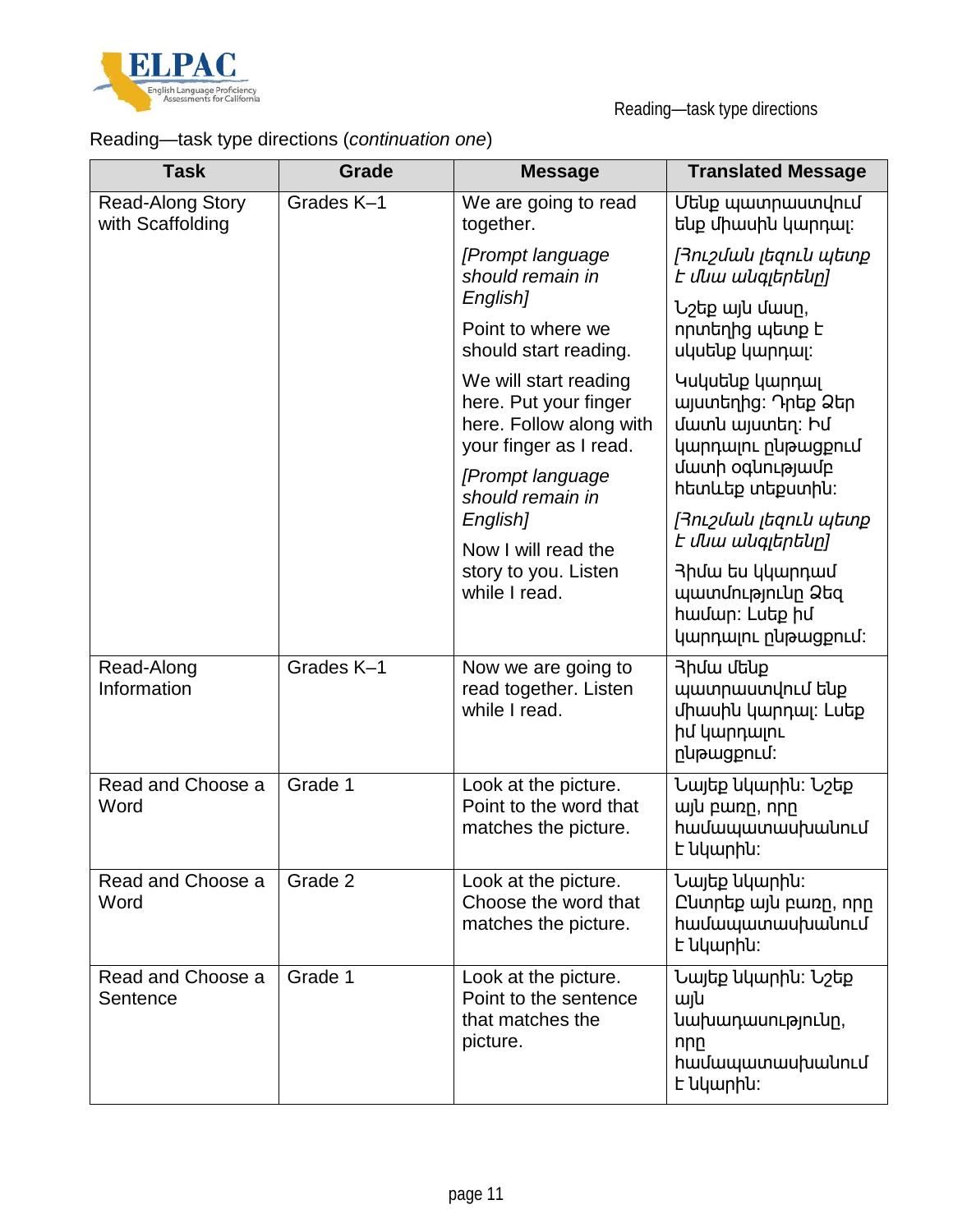![](_page_10_Picture_0.jpeg)

# Reading—task type directions (*continuation one*)

| <b>Task</b>                          | <b>Grade</b>                          | <b>Message</b>                                                                                      | <b>Translated Message</b>                                                                       |
|--------------------------------------|---------------------------------------|-----------------------------------------------------------------------------------------------------|-------------------------------------------------------------------------------------------------|
| Read-Along Story<br>with Scaffolding | Grades K-1                            | We are going to read<br>together.                                                                   | Մենք պատրաստվում<br>ենք միասին կարդալ։                                                          |
|                                      |                                       | [Prompt language<br>should remain in                                                                | Յուշման լեզուն պետք<br>է մնա անգլերենը]                                                         |
|                                      |                                       | English]<br>Point to where we<br>should start reading.                                              | Նշեք այն մասը,<br>որտեղից պետք է<br>uyutup ywnnwi:                                              |
|                                      |                                       | We will start reading<br>here. Put your finger<br>here. Follow along with<br>your finger as I read. | Կսկսենք կարդալ<br>ալստեղից։ Դրեք Ձեր<br>մատն այստեղ: Իմ<br>կարդալու ընթացքում                   |
|                                      |                                       | [Prompt language<br>should remain in                                                                | վատի oqunւթյավբ<br>htmuthp տեքստին:                                                             |
|                                      |                                       | English]<br>Now I will read the                                                                     | Rnisululu Itanilu yang<br>է մնա անգլերենը]                                                      |
|                                      | story to you. Listen<br>while I read. | 3 huw tu yuunnwu<br>պատմությունը Ձեզ<br>hամար։ Luեք իմ<br>կարդայու ընթացքում:                       |                                                                                                 |
| Read-Along<br>Information            | Grades K-1                            | Now we are going to<br>read together. Listen<br>while I read.                                       | 3 huw utblp<br>պատրաստվում ենք<br>միասին կարդալ: Lutp<br>իմ կարդալու<br>nu <sub>b</sub> ugpnud: |
| Read and Choose a<br>Word            | Grade 1                               | Look at the picture.<br>Point to the word that<br>matches the picture.                              | Նայեք նկարին։ Նշեք<br>wju pwnp, npp<br><b>hwuwwwwwupwuhnLu</b><br><b>L</b> uywphu:              |
| Read and Choose a<br>Word            | Grade 2                               | Look at the picture.<br>Choose the word that<br>matches the picture.                                | Նայեք նկարին։<br>Ը կտրեք այն բառը, որը<br><b>hwuwwwwwuhwuhnLu</b><br>է նկարին։                  |
| Read and Choose a<br>Sentence        | Grade 1                               | Look at the picture.<br>Point to the sentence<br>that matches the<br>picture.                       | Նայեք նկարին։ Նշեք<br>wju<br>նախադասությունը,<br>nnn<br><b>h</b> ամապատասխանում<br>է նկարին։    |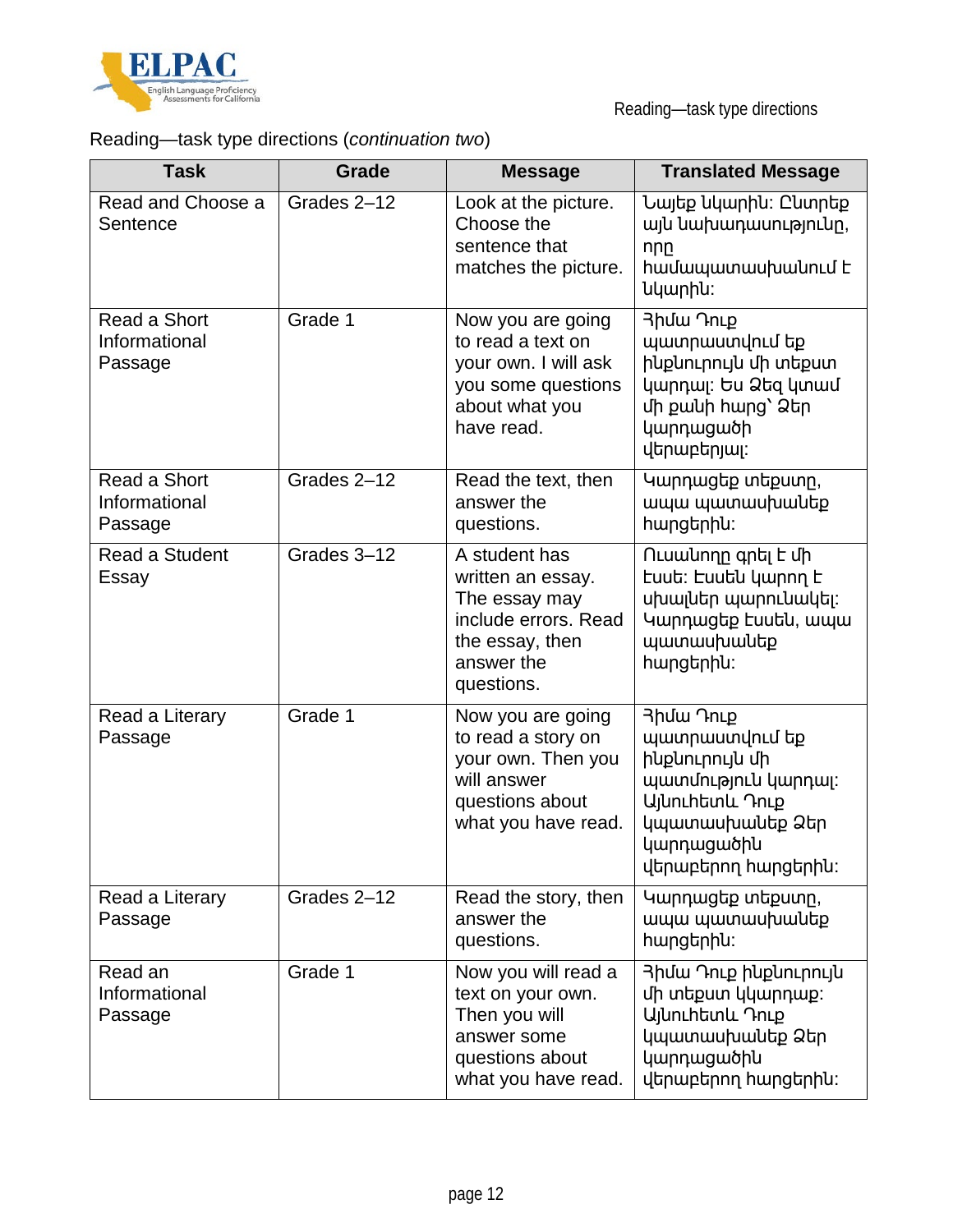![](_page_11_Picture_0.jpeg)

# Reading—task type directions (*continuation two*)

| <b>Task</b>                              | <b>Grade</b> | <b>Message</b>                                                                                                             | <b>Translated Message</b>                                                                                                                                            |
|------------------------------------------|--------------|----------------------------------------------------------------------------------------------------------------------------|----------------------------------------------------------------------------------------------------------------------------------------------------------------------|
| Read and Choose a<br>Sentence            | Grades 2-12  | Look at the picture.<br>Choose the<br>sentence that<br>matches the picture.                                                | Նայեք նկարին։ Ընտրեք<br>այն նախադասությունը,<br>nnn<br>hwuwwwwuhwuhnLu L<br>նկարին:                                                                                  |
| Read a Short<br>Informational<br>Passage | Grade 1      | Now you are going<br>to read a text on<br>your own. I will ask<br>you some questions<br>about what you<br>have read.       | 3huw 7nLp<br>պատրաստվում եք<br>ինքնուրույն մի տեքստ<br>կարդալ: Ես Ձեզ կտամ<br>մի քանի հարց` Ձեր<br>կարդացածի<br>վերաբերյալ։                                          |
| Read a Short<br>Informational<br>Passage | Grades 2-12  | Read the text, then<br>answer the<br>questions.                                                                            | Կարդացեք տեքստր,<br>ապա պատասխանեք<br>hwngtnhu:                                                                                                                      |
| Read a Student<br>Essay                  | Grades 3-12  | A student has<br>written an essay.<br>The essay may<br>include errors. Read<br>the essay, then<br>answer the<br>questions. | Ուսանողը գրել է մի<br>tuut: tuutu ywnnn t<br>սխալներ պարունակել։<br>Կարդացեք էսսեն, ապա<br><b>wwwwuhwultp</b><br>hwngtnhu:                                           |
| Read a Literary<br>Passage               | Grade 1      | Now you are going<br>to read a story on<br>your own. Then you<br>will answer<br>questions about<br>what you have read.     | <b>3huw ThLp</b><br>պատրաստվում եք<br>ինքնուրույն մի<br>պատմություն կարդալ:<br>U <sub>l</sub> unLhtunLL Դուք<br>կպատասխանեք Ձեր<br>կարդացածին<br>վերաբերող հարցերին։ |
| Read a Literary<br>Passage               | Grades 2-12  | Read the story, then<br>answer the<br>questions.                                                                           | Կարդացեք տեքստը,<br>ապա պատասխանեք<br>hwngtnhu:                                                                                                                      |
| Read an<br>Informational<br>Passage      | Grade 1      | Now you will read a<br>text on your own.<br>Then you will<br>answer some<br>questions about<br>what you have read.         | 3իմա Դուք ինքնուրույն<br>մի տեքստ կկարդաք:<br>U <sub>l</sub> unchtunu Դուք<br>կպատասխանեք Ձեր<br>կարդացածին<br>վերաբերող հարցերին։                                   |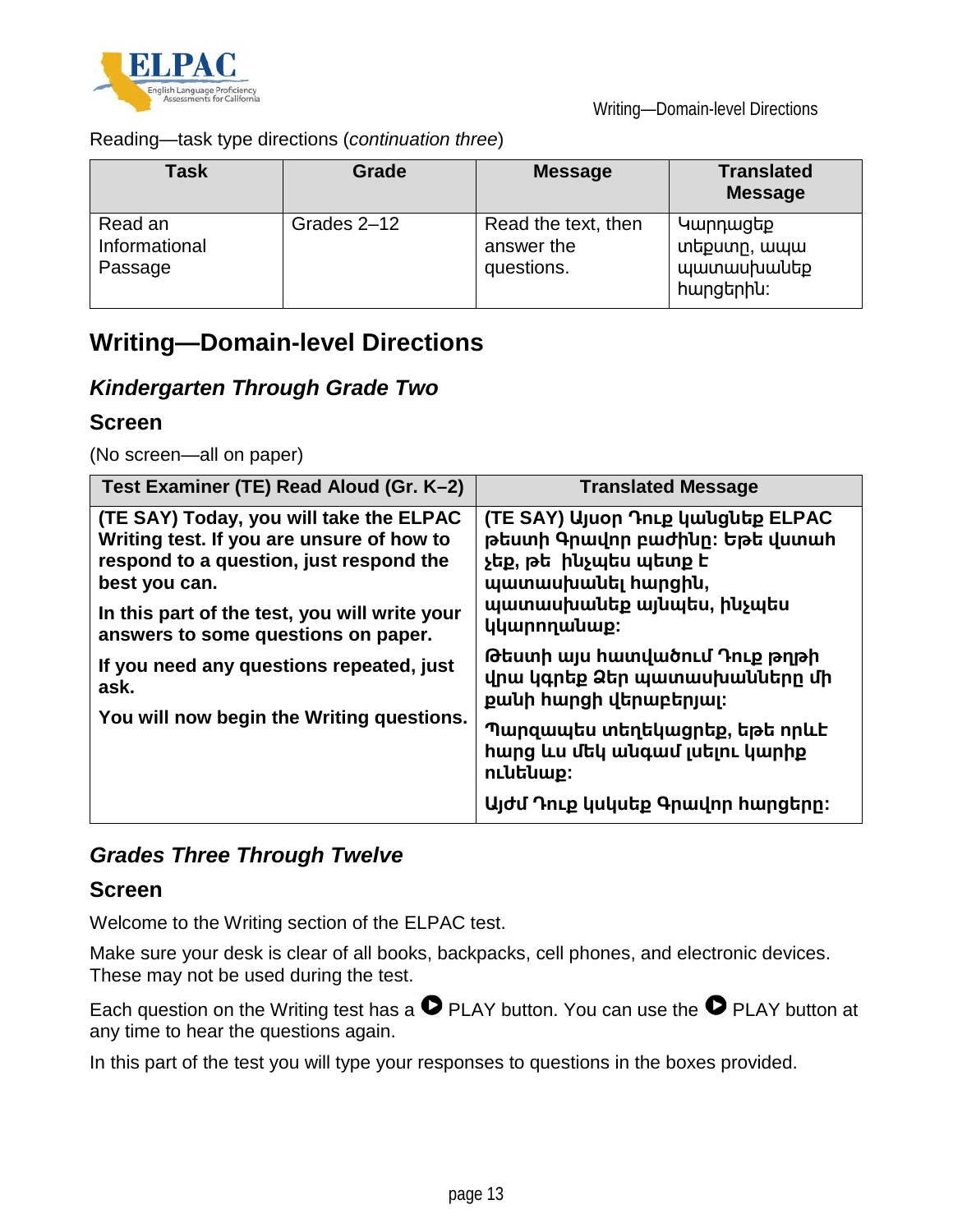![](_page_12_Picture_0.jpeg)

Reading—task type directions (*continuation three*)

| Task                                | Grade       | <b>Message</b>                                  | <b>Translated</b><br><b>Message</b>                             |
|-------------------------------------|-------------|-------------------------------------------------|-----------------------------------------------------------------|
| Read an<br>Informational<br>Passage | Grades 2-12 | Read the text, then<br>answer the<br>questions. | Կարդացեք<br>տեքստր, ապա<br><b>www.muluuluuluty</b><br>hwngtnhu: |

# **Writing—Domain-level Directions**

### *Kindergarten Through Grade Two*

### **Screen**

(No screen—all on paper)

| Test Examiner (TE) Read Aloud (Gr. K-2)                                                                                                                                                                                                  | <b>Translated Message</b>                                                                                                                                      |
|------------------------------------------------------------------------------------------------------------------------------------------------------------------------------------------------------------------------------------------|----------------------------------------------------------------------------------------------------------------------------------------------------------------|
| (TE SAY) Today, you will take the ELPAC<br>Writing test. If you are unsure of how to<br>respond to a question, just respond the<br>best you can.<br>In this part of the test, you will write your<br>answers to some questions on paper. | (TE SAY) Այսօր Դուք կանցնեք ELPAC<br>թեստի Գրավոր բաժինը։ Եթե վստահ<br>չեք, թե ինչպես պետք է<br>պատասխանել hարցին,<br>պատասխանեք այնպես, ինչպես<br>կկարողանաք: |
| If you need any questions repeated, just<br>ask.                                                                                                                                                                                         | Թեստի այս հատվածում Դուք թղթի<br>վրա կգրեք Ձեր պատասխանները մի<br>քանի հարցի վերաբերյալ։                                                                       |
| You will now begin the Writing questions.                                                                                                                                                                                                | Պարզապես տեղեկացրեք, եթե որևէ<br><b>h</b> ung ևս մեկ անգամ լսելու կարիք<br>nւնենաք։                                                                            |
|                                                                                                                                                                                                                                          | Այժմ Դուք կսկսեք Գրավոր հարցերը։                                                                                                                               |

### *Grades Three Through Twelve*

#### **Screen**

Welcome to the Writing section of the ELPAC test.

Make sure your desk is clear of all books, backpacks, cell phones, and electronic devices. These may not be used during the test.

Each question on the Writing test has a  $\bullet$  PLAY button. You can use the  $\bullet$  PLAY button at any time to hear the questions again.

In this part of the test you will type your responses to questions in the boxes provided.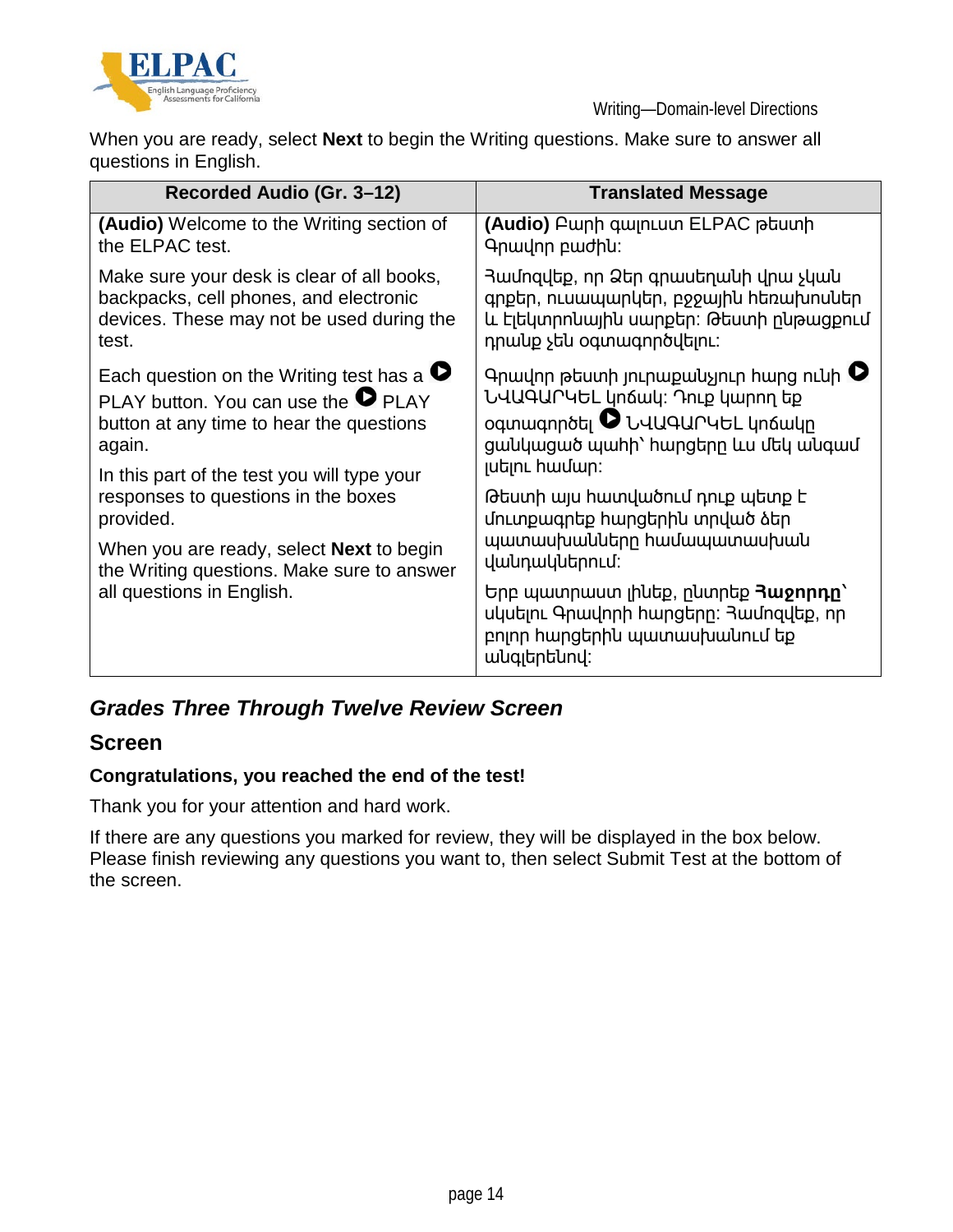![](_page_13_Picture_0.jpeg)

When you are ready, select **Next** to begin the Writing questions. Make sure to answer all questions in English.

| Recorded Audio (Gr. 3-12)                         | <b>Translated Message</b>                                                                                                           |
|---------------------------------------------------|-------------------------------------------------------------------------------------------------------------------------------------|
| (Audio) Welcome to the Writing section of         | (Audio) Բարի գալուստ ELPAC թեստի                                                                                                    |
| the ELPAC test.                                   | Գրավոր բաժին։                                                                                                                       |
| Make sure your desk is clear of all books,        | Յամոզվեք, որ Ձեր գրասեղանի վրա չկան                                                                                                 |
| backpacks, cell phones, and electronic            | գրքեր, ուսապարկեր, բջջային հեռախոսներ                                                                                               |
| devices. These may not be used during the         | և Ելեկտրոնային սարքեր։ Թեստի ընթացքում                                                                                              |
| test.                                             | դրանք չեն օգտագործվելու:                                                                                                            |
| Each question on the Writing test has a $\bullet$ | Գրավոր թեստի յուրաքանչյուր հարց ունի <sup>0</sup>                                                                                   |
| PLAY button. You can use the <sup>O</sup> PLAY    | ՆՎԱԳԱՐԿԵԼ կոճակ: Դուք կարող եք                                                                                                      |
| button at any time to hear the questions          | oqunuuqnnoti UUUqurutLun6wun                                                                                                        |
| again.                                            | ցանկացած պաիի՝ hարցերը ևս մեկ անգամ                                                                                                 |
| In this part of the test you will type your       | յսելու hամար:                                                                                                                       |
| responses to questions in the boxes               | Թեստի այս հատվածում դուք պետք է                                                                                                     |
| provided.                                         | մուտքագրեք հարցերին տրված ձեր                                                                                                       |
| When you are ready, select <b>Next</b> to begin   | պատասխանները hամապատասխան                                                                                                           |
| the Writing questions. Make sure to answer        | վանդակներում։                                                                                                                       |
| all questions in English.                         | Երբ պատրաստ լինեք, ընտրեք <b>Յաջորդը</b> `<br>սկսելու Գրավորի հարցերը։ Յամոզվեք, որ<br>բոլոր հարցերին պատասխանում եք<br>անգլերենով։ |

### *Grades Three Through Twelve Review Screen*

#### **Screen**

#### **Congratulations, you reached the end of the test!**

Thank you for your attention and hard work.

If there are any questions you marked for review, they will be displayed in the box below. Please finish reviewing any questions you want to, then select Submit Test at the bottom of the screen.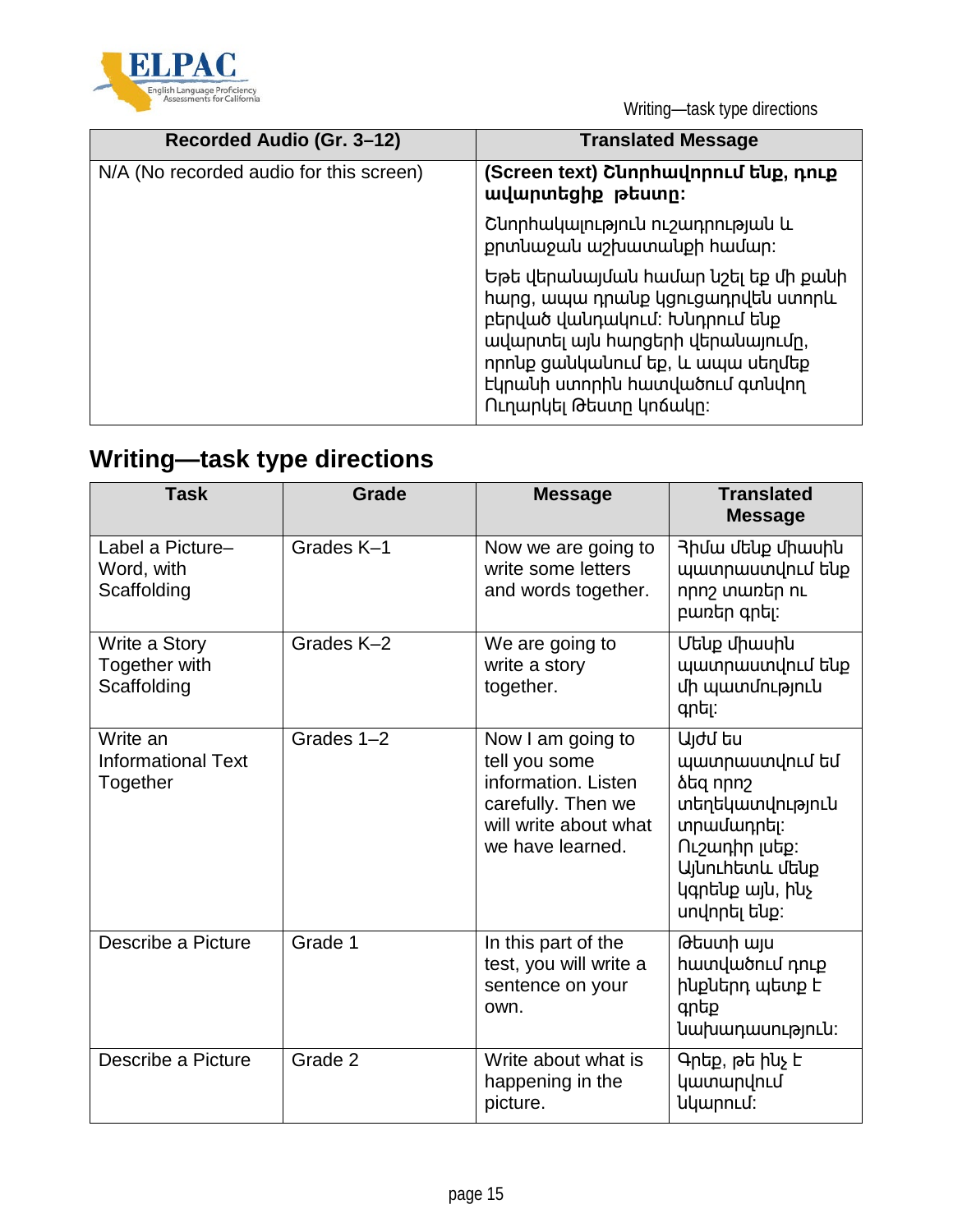![](_page_14_Picture_0.jpeg)

Writing—task type directions

| Recorded Audio (Gr. 3-12)               | <b>Translated Message</b>                                                                                                                                                                                                                      |
|-----------------------------------------|------------------------------------------------------------------------------------------------------------------------------------------------------------------------------------------------------------------------------------------------|
| N/A (No recorded audio for this screen) | (Screen text) Շևորհավորում ենք, դուք<br>ավարտեցիք թեստը:                                                                                                                                                                                       |
|                                         | Շնորհակալություն ուշադրության և<br>քրտևաջաև աշխատանքի համար։                                                                                                                                                                                   |
|                                         | Եթե վերանայման համար նշել եք մի քանի<br>hwng, ապա դրանք կցուցադրվեն ստորև<br>բերված վանդակում։ Խնդրում ենք<br>ավարտել այն հարցերի վերանայումը,<br>որոնք ցանկանում եք, և ապա սեղմեք<br>Եկրանի ստորին հատվածում գտնվող<br>Ուղարկել Թեստը կոճակը։ |

# **Writing—task type directions**

| <b>Task</b>                                       | <b>Grade</b> | <b>Message</b>                                                                                                               | <b>Translated</b><br><b>Message</b>                                                                                                                                                                     |
|---------------------------------------------------|--------------|------------------------------------------------------------------------------------------------------------------------------|---------------------------------------------------------------------------------------------------------------------------------------------------------------------------------------------------------|
| Label a Picture-<br>Word, with<br>Scaffolding     | Grades K-1   | Now we are going to<br>write some letters<br>and words together.                                                             | 3 իմա մենք միասին<br>պատրաստվում ենք<br>nnn <sub>2</sub> ununtin nu<br>բառեր գրել:                                                                                                                      |
| Write a Story<br>Together with<br>Scaffolding     | Grades K-2   | We are going to<br>write a story<br>together.                                                                                | Մենք միասին<br>պատրաստվում ենք<br>մի պատմություն<br>գրել:                                                                                                                                               |
| Write an<br><b>Informational Text</b><br>Together | Grades 1-2   | Now I am going to<br>tell you some<br>information. Listen<br>carefully. Then we<br>will write about what<br>we have learned. | U <sub>l</sub> du tu<br>պատրաստվում եմ<br><b><i><u>ά</u>d</i></b> npn <sub>2</sub><br>տեղեկատվություն<br>տրամադրել։<br>Ուշադիր լսեք:<br>U <sub>l</sub> unchtunu մենք<br>կգրենք այն, ինչ<br>սովորել ենք: |
| Describe a Picture                                | Grade 1      | In this part of the<br>test, you will write a<br>sentence on your<br>own.                                                    | Թեստի այս<br>hwunվածnւմ դուք<br>ինքներդ պետք է<br>qntp<br>նախադասություն։                                                                                                                               |
| Describe a Picture                                | Grade 2      | Write about what is<br>happening in the<br>picture.                                                                          | Գրեք, թե իևչ է<br>կատարվում<br><b>u</b> unnLu:                                                                                                                                                          |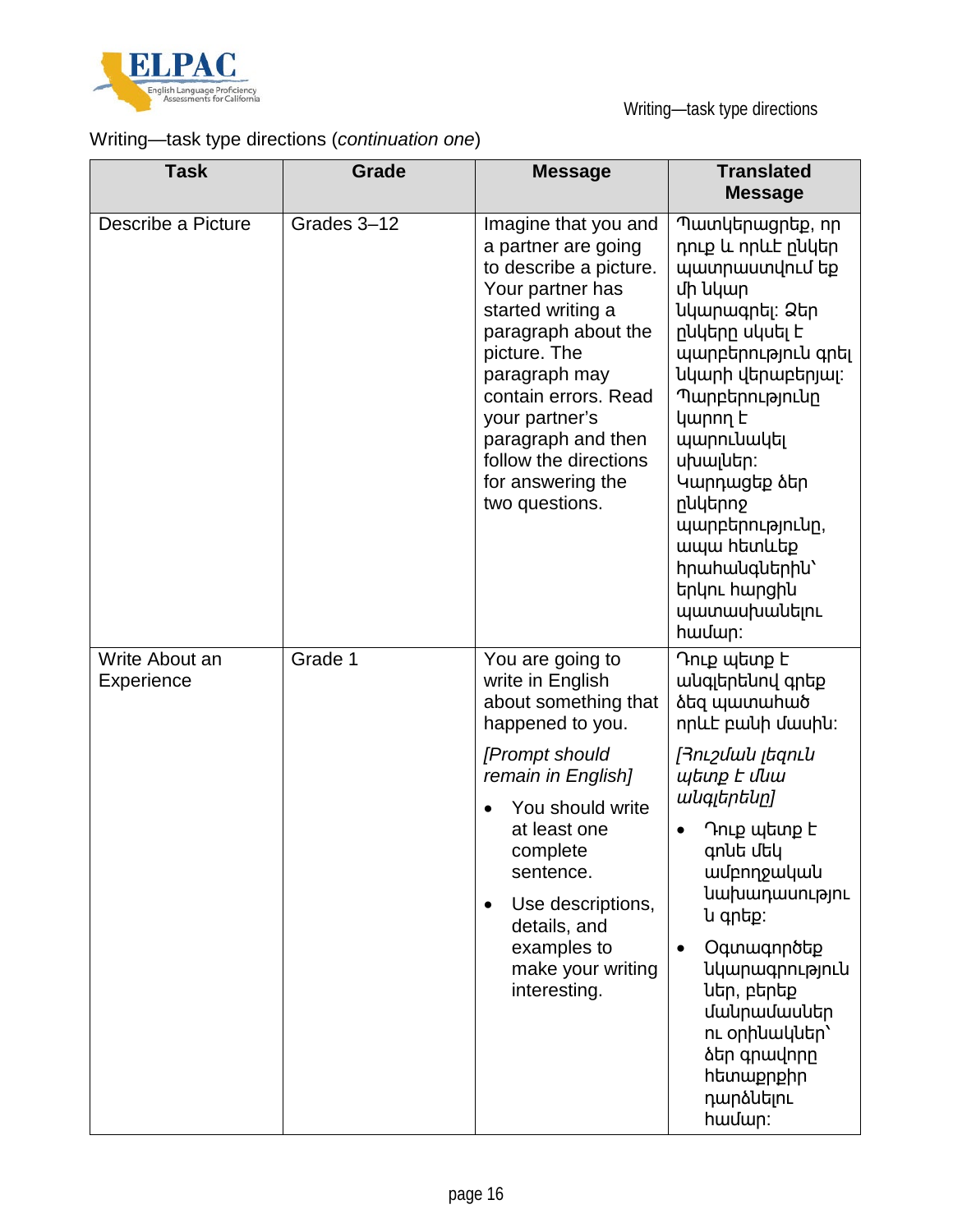![](_page_15_Picture_0.jpeg)

### Writing—task type directions (*continuation one*)

| <b>Task</b>                  | Grade       | <b>Message</b>                                                                                                                                                                                                                                                                                         | <b>Translated</b><br><b>Message</b>                                                                                                                                                                                                                                                                                                                                                                          |
|------------------------------|-------------|--------------------------------------------------------------------------------------------------------------------------------------------------------------------------------------------------------------------------------------------------------------------------------------------------------|--------------------------------------------------------------------------------------------------------------------------------------------------------------------------------------------------------------------------------------------------------------------------------------------------------------------------------------------------------------------------------------------------------------|
| Describe a Picture           | Grades 3-12 | Imagine that you and<br>a partner are going<br>to describe a picture.<br>Your partner has<br>started writing a<br>paragraph about the<br>picture. The<br>paragraph may<br>contain errors. Read<br>your partner's<br>paragraph and then<br>follow the directions<br>for answering the<br>two questions. | Պատկերացրեք, որ<br>դուք և որևէ րևկեր<br>պատրաստվում եք<br>մի նկար<br>նկարագրել։ Ձեր<br>րևկերը սկսել է<br>պարբերություն գրել<br>նկարի վերաբերյալ։<br>Պարբերությունը<br>կարող Է<br>պարունակել<br>սխալներ։<br>Կարդացեք ձեր<br>ընկերոջ<br>պարբերությունը,<br>ապա hետևեք<br>hnwhwuqutnhu'<br>երկու hարցիu<br>պատասխանելու<br>hwuun:                                                                               |
| Write About an<br>Experience | Grade 1     | You are going to<br>write in English<br>about something that<br>happened to you.<br>[Prompt should<br>remain in English]<br>You should write<br>at least one<br>complete<br>sentence.<br>Use descriptions,<br>$\bullet$<br>details, and<br>examples to<br>make your writing<br>interesting.            | Դուք պետք է<br>անգլերենով գրեք<br><b><i><u><b>atq</b></u></i> պատահած</b><br>nplut pwuh dwuhu:<br>[Յուշման լեզուն<br>պետք Է մնա<br>անգլերենը]<br>Դուք պետք է<br>գոնե մեկ<br>wurnnpwywu<br><b><i><u>luu</u>puuunumumunu</i></b><br>ն գրեք։<br>Oqunwqnnotp<br>$\bullet$<br><b><i><u>uupwqpnuannuu</u></i></b><br>ներ, բերեք<br>մանրամասներ<br>n Lophuwuuth'<br>ձեր գրավորը<br>htmwppphp<br>դարձևելու<br>hwuun: |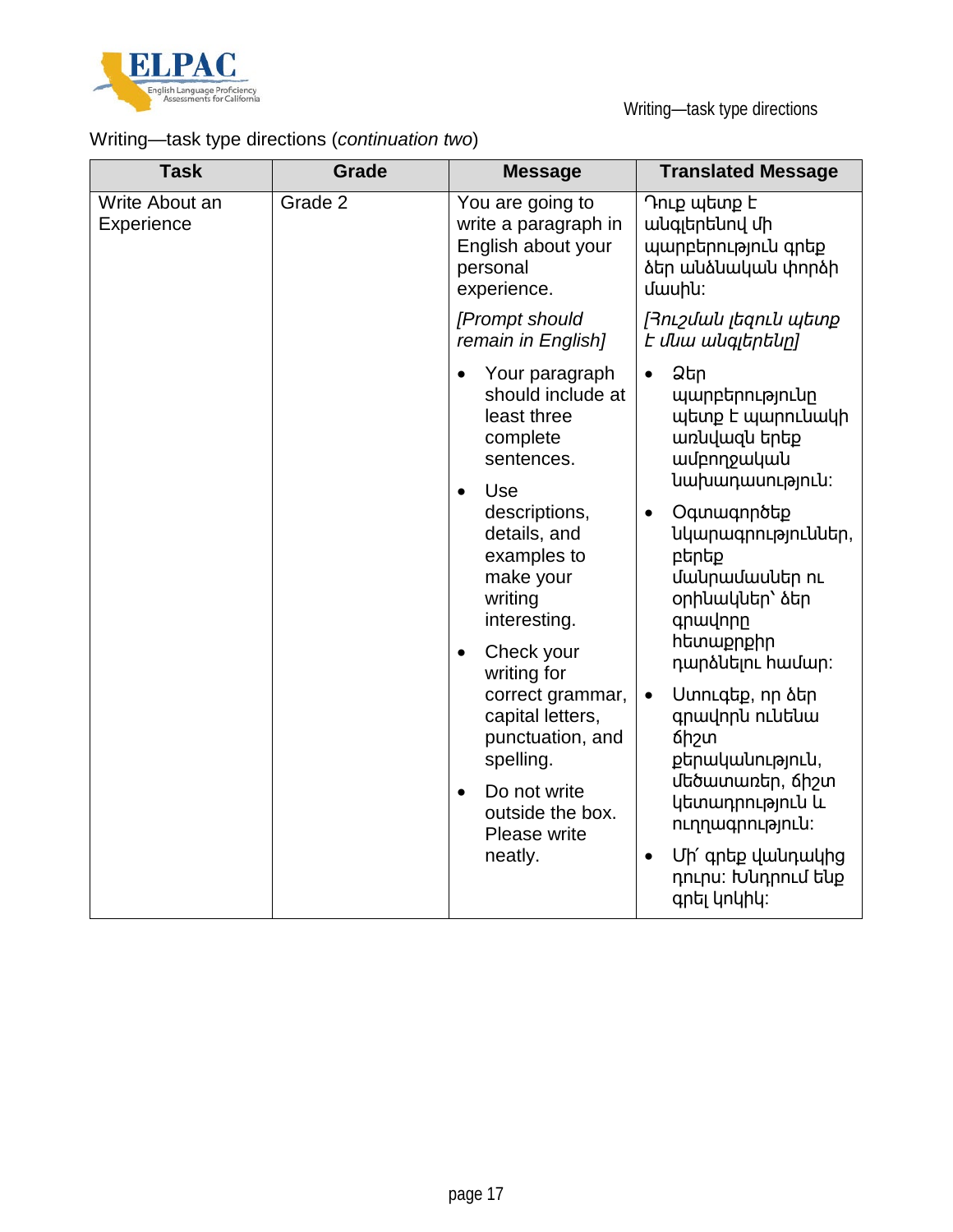![](_page_16_Picture_0.jpeg)

# Writing—task type directions (*continuation two*)

| <b>Task</b>                  | <b>Grade</b> | <b>Message</b>                                                                                                                                                                                                                                                                                                                                                                                       | <b>Translated Message</b>                                                                                                                                                                                                                                                                                                                                                                                                                                                                   |
|------------------------------|--------------|------------------------------------------------------------------------------------------------------------------------------------------------------------------------------------------------------------------------------------------------------------------------------------------------------------------------------------------------------------------------------------------------------|---------------------------------------------------------------------------------------------------------------------------------------------------------------------------------------------------------------------------------------------------------------------------------------------------------------------------------------------------------------------------------------------------------------------------------------------------------------------------------------------|
| Write About an<br>Experience | Grade 2      | You are going to<br>write a paragraph in<br>English about your<br>personal<br>experience.                                                                                                                                                                                                                                                                                                            | Դուք պետք է<br>անգլերենով մի<br>պարբերություն գրեք<br>ձեր անձնական փորձի<br>uwuhu:                                                                                                                                                                                                                                                                                                                                                                                                          |
|                              |              | [Prompt should<br>remain in English]                                                                                                                                                                                                                                                                                                                                                                 | <i>[</i> Յուշման լեզուն պետք<br>t <i>մնա անգլերենը]</i>                                                                                                                                                                                                                                                                                                                                                                                                                                     |
|                              |              | Your paragraph<br>$\bullet$<br>should include at<br>least three<br>complete<br>sentences.<br>Use<br>$\bullet$<br>descriptions,<br>details, and<br>examples to<br>make your<br>writing<br>interesting.<br>Check your<br>$\bullet$<br>writing for<br>correct grammar,<br>capital letters,<br>punctuation, and<br>spelling.<br>Do not write<br>$\bullet$<br>outside the box.<br>Please write<br>neatly. | Ձեր<br>$\bullet$<br>պարբերությունը<br>պետք է պարունակի<br>առնվազն երեք<br>wurnnpwywu<br>նախադասություն:<br>Oqunwqnnotp<br>$\bullet$<br>նկարագրություններ,<br>բերեք<br>մակրամասներ ու<br>օրինակներ՝ ձեր<br>qnwynnn<br><b>htmwppphp</b><br>դարձևելու համար։<br>Uտուգեք, որ ծեր<br>$\bullet$<br>գրավորև ուևեևա<br><b>6h</b> <sub>2</sub> un<br>քերականություն,<br>մեծատառեր, ճիշտ<br>կետադրություն և<br>nւղղագրություն։<br>Մի՛ գրեք վանդակից<br>$\bullet$<br>դուրս։ Խնդրում ենք<br>գրել կոկիկ: |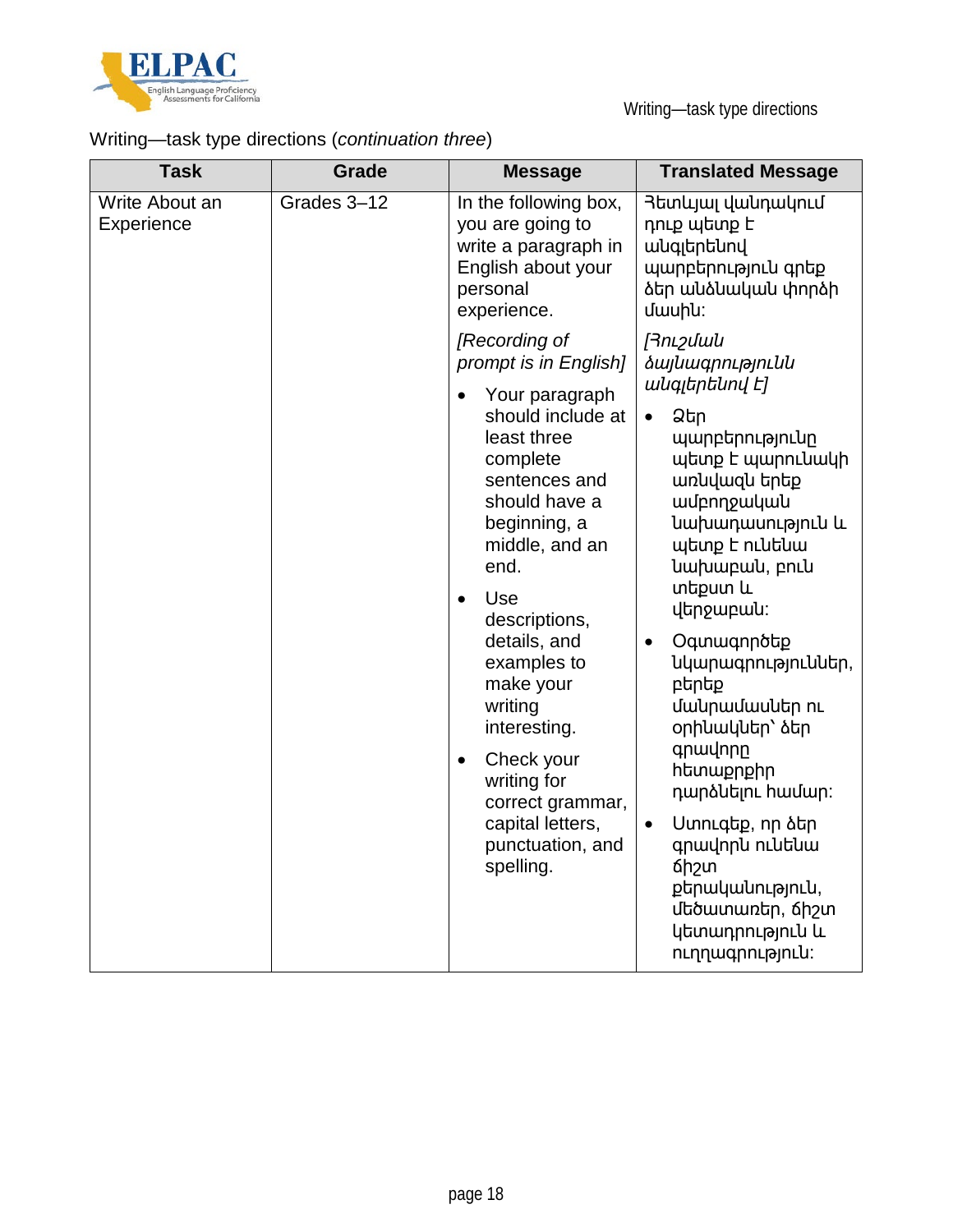![](_page_17_Picture_0.jpeg)

# Writing—task type directions (*continuation three*)

| <b>Task</b>                  | <b>Grade</b> | <b>Message</b>                                                                                                                                                                                                                                                                                                                                                                                                      | <b>Translated Message</b>                                                                                                                                                                                                                                                                                                                                                                                                                                                                                                                                               |
|------------------------------|--------------|---------------------------------------------------------------------------------------------------------------------------------------------------------------------------------------------------------------------------------------------------------------------------------------------------------------------------------------------------------------------------------------------------------------------|-------------------------------------------------------------------------------------------------------------------------------------------------------------------------------------------------------------------------------------------------------------------------------------------------------------------------------------------------------------------------------------------------------------------------------------------------------------------------------------------------------------------------------------------------------------------------|
| Write About an<br>Experience | Grades 3-12  | In the following box,<br>you are going to<br>write a paragraph in<br>English about your<br>personal<br>experience.                                                                                                                                                                                                                                                                                                  | Յետևյալ վանդակում<br>դուք պետք է<br>wuqitntuny<br>պարբերություն գրեք<br>ծեր անձնական փորձի<br>uwuhu:                                                                                                                                                                                                                                                                                                                                                                                                                                                                    |
|                              |              | [Recording of<br>prompt is in English]<br>Your paragraph<br>should include at<br>least three<br>complete<br>sentences and<br>should have a<br>beginning, a<br>middle, and an<br>end.<br>Use<br>$\bullet$<br>descriptions,<br>details, and<br>examples to<br>make your<br>writing<br>interesting.<br>Check your<br>$\bullet$<br>writing for<br>correct grammar,<br>capital letters,<br>punctuation, and<br>spelling. | <b>Finipulation</b><br><i><b><i><u><b><u>iugnnpyntuu</u></b></u></i></b></i><br>wuqithtuny E]<br>Ձեր<br>$\bullet$<br>պարբերությունը<br>պետք է պարունակի<br>առևվազև երեք<br>wurnngwywu<br>նախադասություն և<br>պետք է ունենա<br>luu puupuul, pnlu<br>տեքստ և<br>վերջաբան։<br>Oqunwqnnotp<br>$\bullet$<br>նկարագրություններ,<br>բերեք<br>մակրամասներ ու<br>օրինակներ՝ ձեր<br>qnwynnn<br>htmwppphp<br>դարձևելու համար։<br>Uunnlqtp, nn ծեր<br>$\bullet$<br>գրավորև ուևեևա<br>6h <sub>2</sub> un<br>քերականություն,<br>մեծատառեր, ճիշտ<br>կետադրություն և<br>nւղղագրություն։ |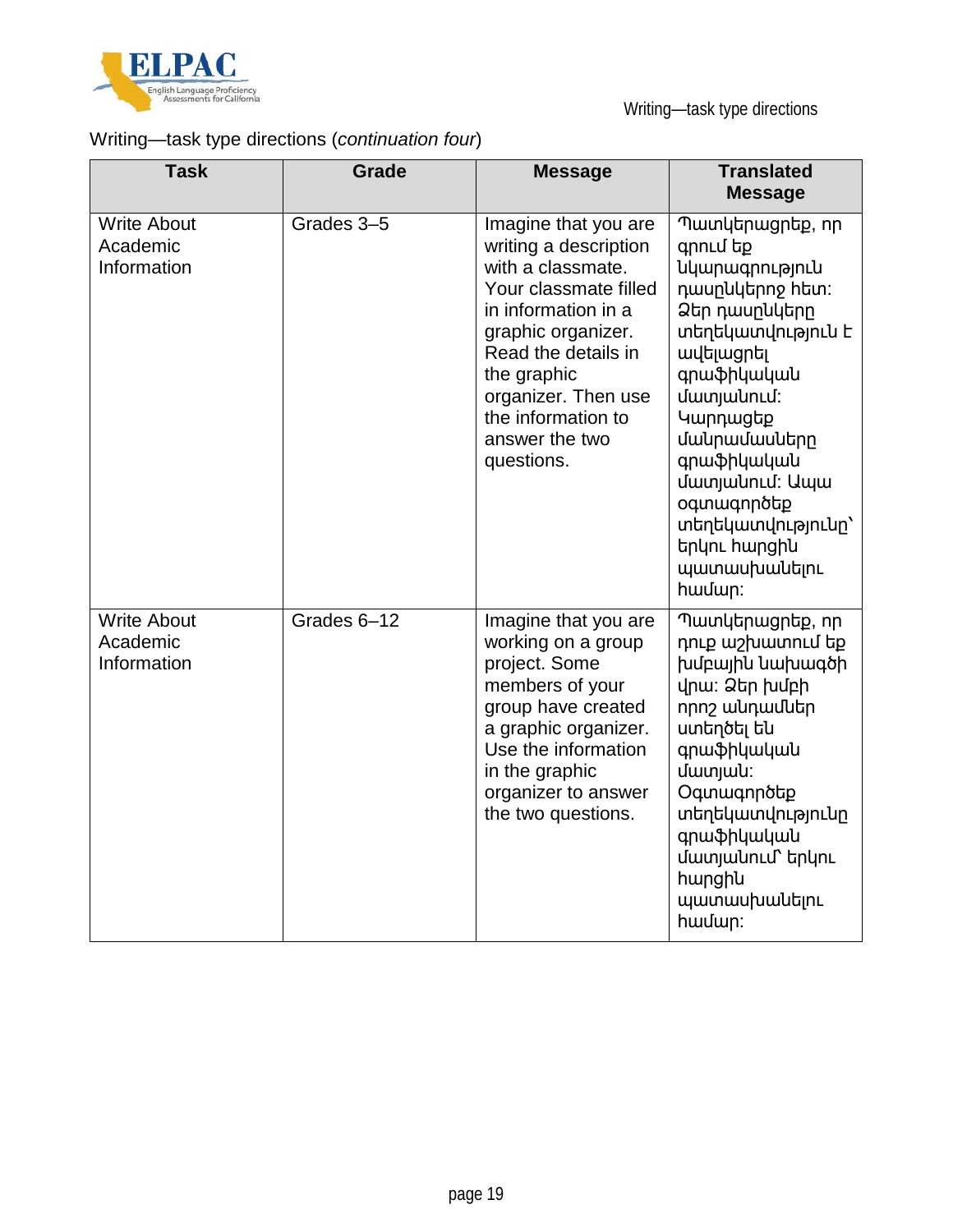![](_page_18_Picture_0.jpeg)

# Writing—task type directions (*continuation four*)

| <b>Task</b>                                   | Grade       | <b>Message</b>                                                                                                                                                                                                                                              | <b>Translated</b><br><b>Message</b>                                                                                                                                                                                                                                                                                           |
|-----------------------------------------------|-------------|-------------------------------------------------------------------------------------------------------------------------------------------------------------------------------------------------------------------------------------------------------------|-------------------------------------------------------------------------------------------------------------------------------------------------------------------------------------------------------------------------------------------------------------------------------------------------------------------------------|
| <b>Write About</b><br>Academic<br>Information | Grades 3-5  | Imagine that you are<br>writing a description<br>with a classmate.<br>Your classmate filled<br>in information in a<br>graphic organizer.<br>Read the details in<br>the graphic<br>organizer. Then use<br>the information to<br>answer the two<br>questions. | Պատկերացրեք, որ<br>qnnLu tp<br><b><i><u>uunwqnnuannuu</u></i></b><br>դասրևկերոջ hետ:<br>Ձեր դասընկերը<br>տեղեկատվություն է<br><b>wudiwgntil</b><br>գրաֆիկական<br>մատյանում:<br>Կարդացեք<br>մակրամասները<br>գրաֆիկական<br>մատյանում։ Ապա<br>oqunwqnnotp<br>տեղեկատվությունը`<br>երկու հարցին<br><b>wwwwuhwuutinu</b><br>hwuun: |
| <b>Write About</b><br>Academic<br>Information | Grades 6-12 | Imagine that you are<br>working on a group<br>project. Some<br>members of your<br>group have created<br>a graphic organizer.<br>Use the information<br>in the graphic<br>organizer to answer<br>the two questions.                                          | Պատկերացրեք, որ<br>դուք աշխատում եք<br>խմբային նախագծի<br>վրա։ Ձեր խմբի<br>որոշ անդամներ<br>ստեղծել են<br>գրաֆիկական<br>մատյա <b>կ</b> ։<br>Oqunwqnnotp<br>տեղեկատվությունը<br>գրաֆիկական<br>մատյանում` երկու<br>hwnghu<br>պատասխանելու<br>hwuun:                                                                             |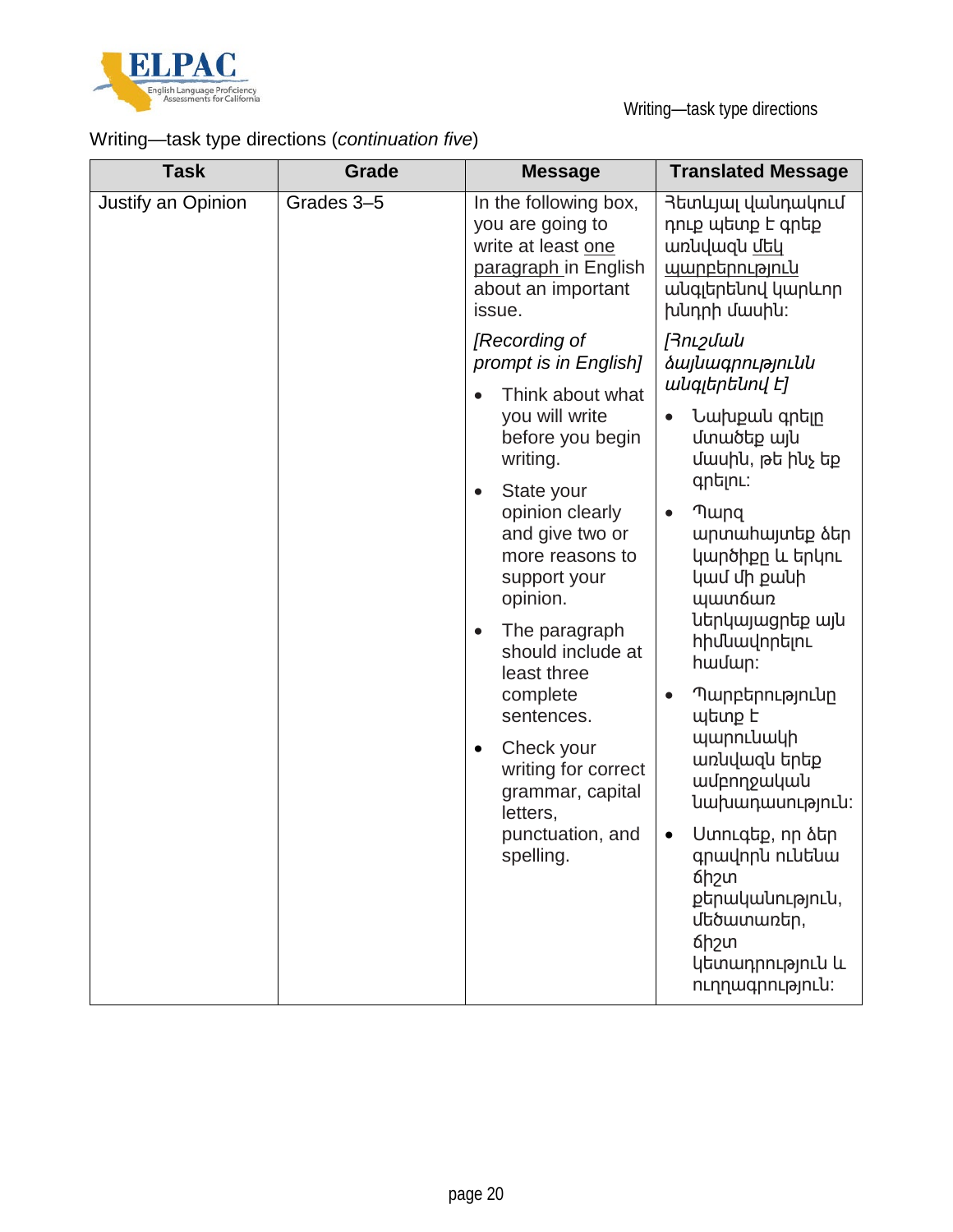![](_page_19_Picture_0.jpeg)

# Writing—task type directions (*continuation five*)

| <b>Task</b>        | <b>Grade</b> | <b>Message</b>                                                                                                                                                                                                                                                                                                                                                                                                                              | <b>Translated Message</b>                                                                                                                                                                                                                                                                                                                                                                                                                                                                                              |
|--------------------|--------------|---------------------------------------------------------------------------------------------------------------------------------------------------------------------------------------------------------------------------------------------------------------------------------------------------------------------------------------------------------------------------------------------------------------------------------------------|------------------------------------------------------------------------------------------------------------------------------------------------------------------------------------------------------------------------------------------------------------------------------------------------------------------------------------------------------------------------------------------------------------------------------------------------------------------------------------------------------------------------|
| Justify an Opinion | Grades 3-5   | In the following box,<br>you are going to<br>write at least one<br>paragraph in English<br>about an important<br>issue.                                                                                                                                                                                                                                                                                                                     | Յետևյալ վանդակում<br>դուք պետք է գրեք<br>wnuuuqu utu<br><u>պարբերություն</u><br>անգլերենով կարևոր<br>խնդրի մասին։                                                                                                                                                                                                                                                                                                                                                                                                      |
|                    |              | [Recording of<br>prompt is in English]<br>Think about what<br>you will write<br>before you begin<br>writing.<br>State your<br>$\bullet$<br>opinion clearly<br>and give two or<br>more reasons to<br>support your<br>opinion.<br>The paragraph<br>$\bullet$<br>should include at<br>least three<br>complete<br>sentences.<br>Check your<br>$\bullet$<br>writing for correct<br>grammar, capital<br>letters,<br>punctuation, and<br>spelling. | [Յուշման<br><i><b>ձայնագրությունն</b></i><br>անգլերենով Է]<br>Նախքան գրելը<br>մտածեք այն<br>մասին, թե ինչ եք<br>qntinL:<br><b>T</b> ung<br>$\bullet$<br>արտահայտեք ձեր<br>կարծիքը և երկու<br>կամ մի քանի<br><b>ujuun6wn</b><br>ներկայացրեք այն<br><b>h</b> իմնավորելու<br>hwuun:<br>Պարբերությունը<br>$\bullet$<br>պետք է<br>պարունակի<br>առնվազն երեք<br>wurnnowywu<br>նախադասություն:<br>Ստուգեք, որ ձեր<br>$\bullet$<br>գրավորն ունենա<br>6h <sub>2</sub> un<br>քերականություն,<br>մեծատառեր,<br>6h <sub>2</sub> un |
|                    |              |                                                                                                                                                                                                                                                                                                                                                                                                                                             | կետադրություն և<br>ուղղագրություն։                                                                                                                                                                                                                                                                                                                                                                                                                                                                                     |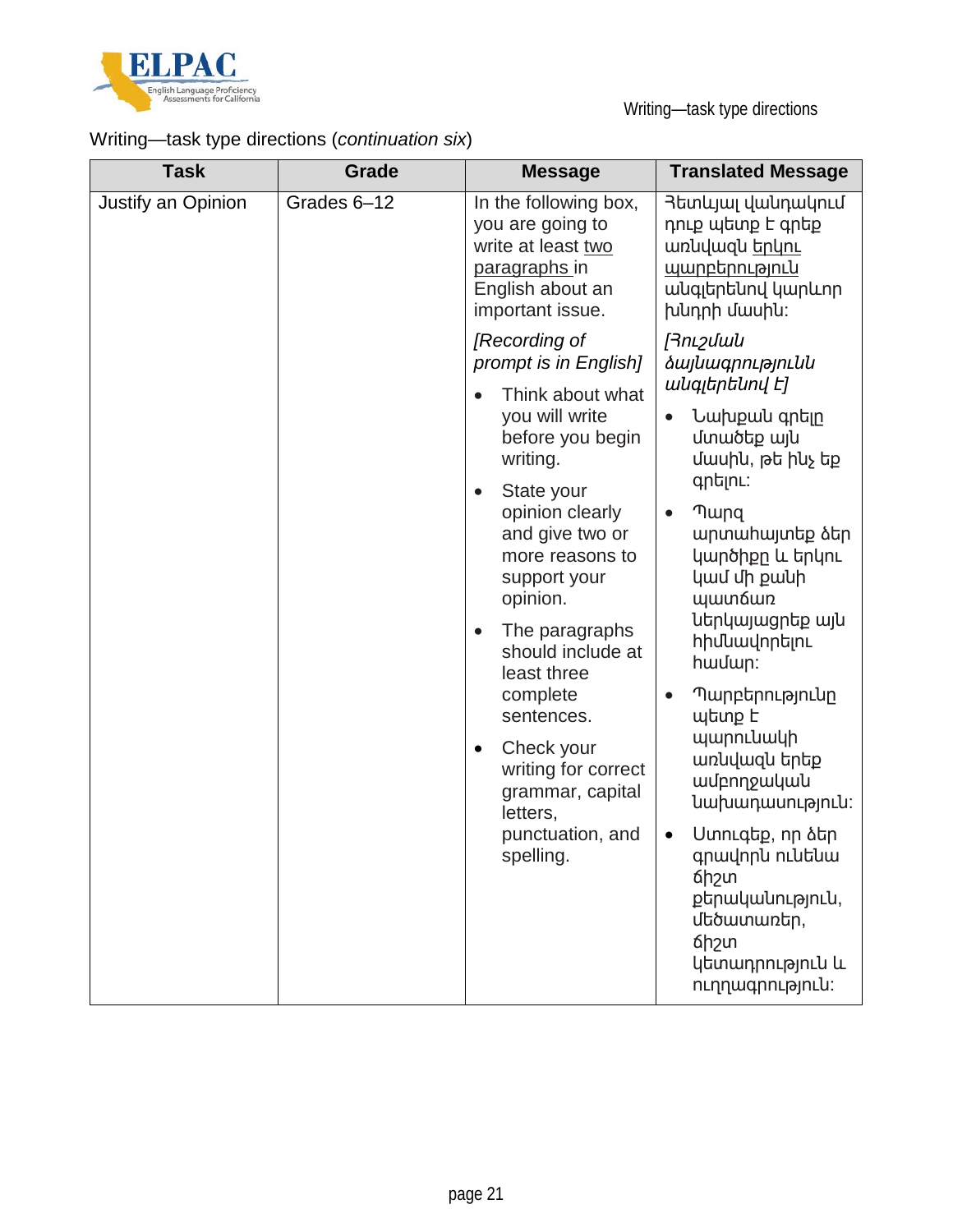![](_page_20_Picture_0.jpeg)

# Writing—task type directions (*continuation six*)

| <b>Task</b>        | Grade       | <b>Message</b>                                                                                                                                                                                                          | <b>Translated Message</b>                                                                                                                                                                                                                                              |
|--------------------|-------------|-------------------------------------------------------------------------------------------------------------------------------------------------------------------------------------------------------------------------|------------------------------------------------------------------------------------------------------------------------------------------------------------------------------------------------------------------------------------------------------------------------|
| Justify an Opinion | Grades 6-12 | In the following box,<br>you are going to<br>write at least two<br>paragraphs in<br>English about an<br>important issue.                                                                                                | Յետևյալ վանդակում<br>դուք պետք է գրեք<br>unluluqlu bnun<br><u>պարբերություն</u><br>անգլերենով կարևոր<br>խնդրի մասին։                                                                                                                                                   |
|                    |             | [Recording of<br>prompt is in English]                                                                                                                                                                                  | <b>Finipulation</b><br><i><b>ձայնագրությունն</b></i><br>անգլերենով Է]                                                                                                                                                                                                  |
|                    |             | Think about what<br>you will write<br>before you begin<br>writing.                                                                                                                                                      | Նախքան գրելը<br>մտածեք այն<br>մասին, թե ինչ եք                                                                                                                                                                                                                         |
|                    |             | State your<br>$\bullet$<br>opinion clearly<br>and give two or<br>more reasons to<br>support your<br>opinion.<br>The paragraphs<br>should include at<br>least three<br>complete<br>sentences.<br>Check your<br>$\bullet$ | qntinL:<br><b>Thung</b><br>$\bullet$<br>արտաիալտեք ձեր<br>կարծիքը և երկու<br>կամ մի քանի<br><b>ywn6wn</b><br>ներկայացրեք այն<br><b>h</b> իմնավորելու<br>hwuun:<br>Պարբերությունը<br>$\bullet$<br>պետք է<br>պարունակի<br>առնվազն երեք<br>wurnnpwywu<br>luupuununuanulu: |
|                    |             | writing for correct<br>grammar, capital<br>letters,<br>punctuation, and<br>spelling.                                                                                                                                    |                                                                                                                                                                                                                                                                        |
|                    |             |                                                                                                                                                                                                                         | Uտուգեք, որ ձեր<br>$\bullet$<br>գրավորն ունենա<br>6h <sub>2</sub> un<br>քերականություն,<br>մեծատառեր,<br>6h <sub>2</sub> un<br>կետադրություն և<br>ուղղագրություն։                                                                                                      |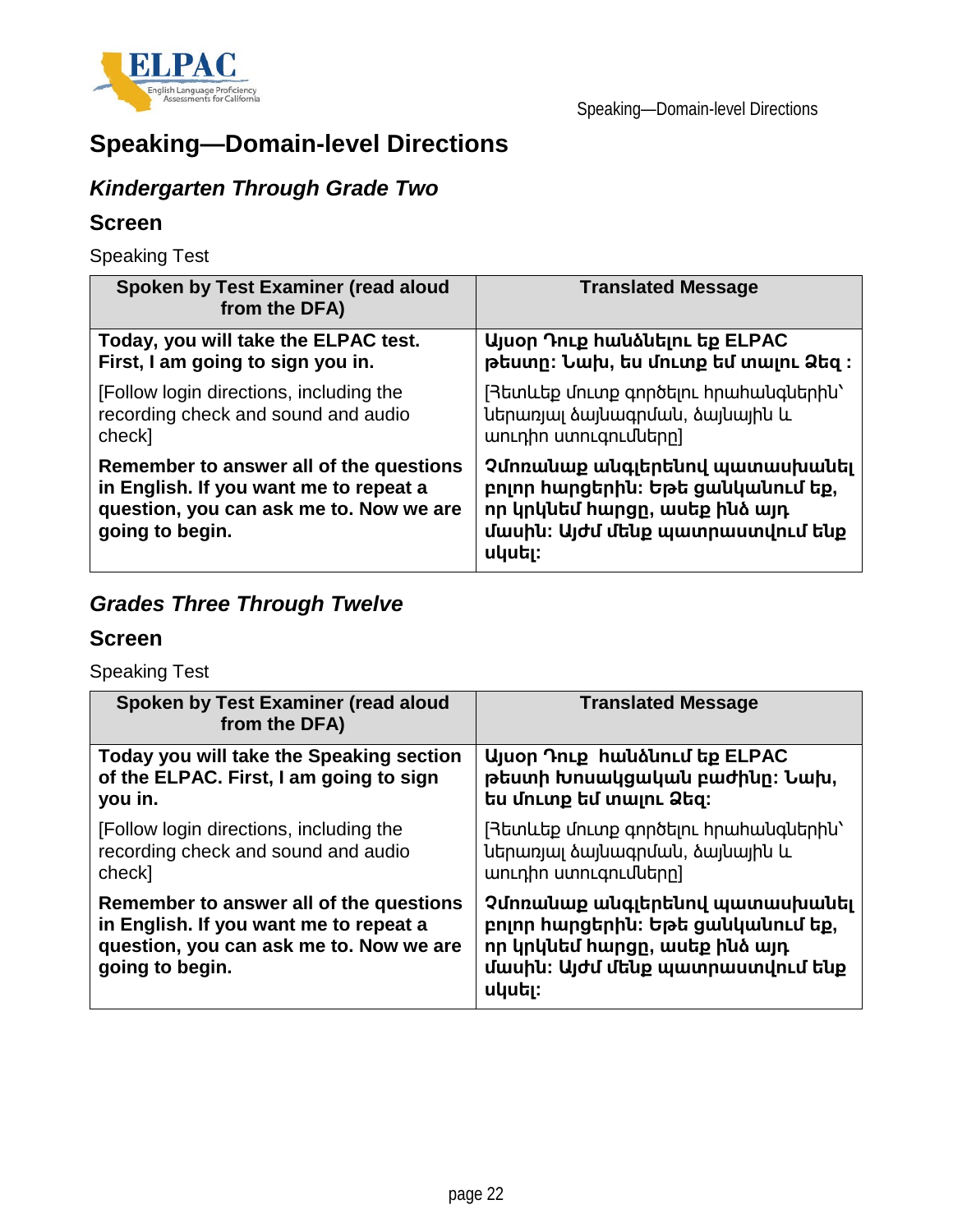![](_page_21_Picture_0.jpeg)

# **Speaking—Domain-level Directions**

# *Kindergarten Through Grade Two*

### **Screen**

Speaking Test

| Spoken by Test Examiner (read aloud<br>from the DFA)                                                                                            | <b>Translated Message</b>                                                                                                                          |
|-------------------------------------------------------------------------------------------------------------------------------------------------|----------------------------------------------------------------------------------------------------------------------------------------------------|
| Today, you will take the ELPAC test.                                                                                                            | Այսօր Դուք hաևձևելու եք ELPAC                                                                                                                      |
| First, I am going to sign you in.                                                                                                               | թեստը։ Նախ, ես մուտք եմ տալու Ձեզ ։                                                                                                                |
| [Follow login directions, including the                                                                                                         | [Յետևեք մուտք գործելու hրաhակգներին`                                                                                                               |
| recording check and sound and audio                                                                                                             | ներառյալ ծայնագրման, ծայնային և                                                                                                                    |
| check]                                                                                                                                          | աուդիո ստուգումները]                                                                                                                               |
| Remember to answer all of the questions<br>in English. If you want me to repeat a<br>question, you can ask me to. Now we are<br>going to begin. | Չմոռանաք անգլերենով պատասխանել<br>բոլոր հարցերին։ Եթե ցանկանում եք,<br>որ կրկնեմ հարցը, ասեք ինձ այդ<br>մասին։ Այժմ մենք պատրաստվում ենք<br>սկսել։ |

# *Grades Three Through Twelve*

### **Screen**

Speaking Test

| Spoken by Test Examiner (read aloud<br>from the DFA)                                                                                            | <b>Translated Message</b>                                                                                                                          |
|-------------------------------------------------------------------------------------------------------------------------------------------------|----------------------------------------------------------------------------------------------------------------------------------------------------|
| Today you will take the Speaking section                                                                                                        | Ujuon Դուք hաuaunւմ եք ELPAC                                                                                                                       |
| of the ELPAC. First, I am going to sign                                                                                                         | թեստի Խոսակցական բաժինը։ Նախ,                                                                                                                      |
| you in.                                                                                                                                         | ես մուտք եմ տալու Ձեզ։                                                                                                                             |
| [Follow login directions, including the                                                                                                         | [Յետևեք մուտք գործելու hրաhանգներին`                                                                                                               |
| recording check and sound and audio                                                                                                             | ներառյալ ծայնագրման, ծայնային և                                                                                                                    |
| check]                                                                                                                                          | աուդիո ստուգումները]                                                                                                                               |
| Remember to answer all of the questions<br>in English. If you want me to repeat a<br>question, you can ask me to. Now we are<br>going to begin. | Չմոռանաք անգլերենով պատասխանել<br>բոլոր հարցերին։ Եթե ցանկանում եք,<br>որ կրկնեմ հարցը, ասեք ինձ այդ<br>մասին։ Այժմ մենք պատրաստվում ենք<br>սկսել։ |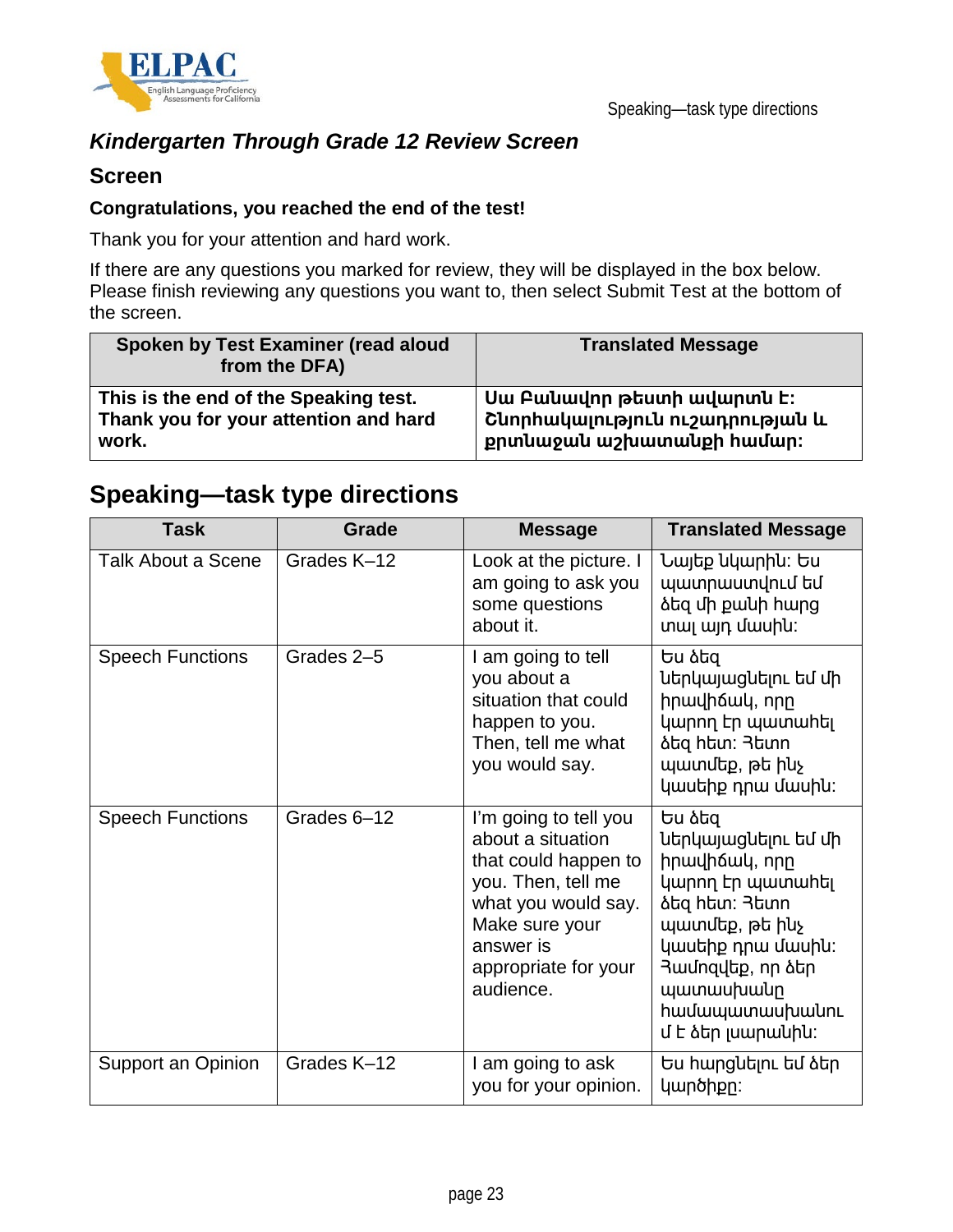![](_page_22_Picture_0.jpeg)

### *Kindergarten Through Grade 12 Review Screen*

#### **Screen**

#### **Congratulations, you reached the end of the test!**

Thank you for your attention and hard work.

If there are any questions you marked for review, they will be displayed in the box below. Please finish reviewing any questions you want to, then select Submit Test at the bottom of the screen.

| Spoken by Test Examiner (read aloud<br>from the DFA) | <b>Translated Message</b>       |
|------------------------------------------------------|---------------------------------|
| This is the end of the Speaking test.                | Uw Բանավոր թեստի ավարտն է:      |
| Thank you for your attention and hard                | Շնորհակալություն ուշադրության և |
| work.                                                | քրտնաջան աշխատանքի համար։       |

# **Speaking—task type directions**

| <b>Task</b>             | Grade       | <b>Message</b>                                                                                                                                                                      | <b>Translated Message</b>                                                                                                                                                                                           |
|-------------------------|-------------|-------------------------------------------------------------------------------------------------------------------------------------------------------------------------------------|---------------------------------------------------------------------------------------------------------------------------------------------------------------------------------------------------------------------|
| Talk About a Scene      | Grades K-12 | Look at the picture. I<br>am going to ask you<br>some questions<br>about it.                                                                                                        | Նայեք նկարին։ Ես<br>պատրաստվում եմ<br>նեզ մի քանի hարց<br>տալ այդ մասին։                                                                                                                                            |
| <b>Speech Functions</b> | Grades 2-5  | I am going to tell<br>you about a<br>situation that could<br>happen to you.<br>Then, tell me what<br>you would say.                                                                 | Ես ձեզ<br>ներկայացնելու եմ մի<br>իրավիճակ, որը<br>կարող էր պատահել<br><b>ձեց hետ</b> : 3ետո<br>պատմեք, թե ինչ<br>կասեիք դրա մասին։                                                                                  |
| <b>Speech Functions</b> | Grades 6-12 | I'm going to tell you<br>about a situation<br>that could happen to<br>you. Then, tell me<br>what you would say.<br>Make sure your<br>answer is<br>appropriate for your<br>audience. | Ես ձեզ<br>ներկայացնելու եմ մի<br>hnwyhowy, nnn<br>կարող էր պատահել<br><b>ձեց hետ</b> : 3ետո<br>պատմեք, թե ինչ<br>կասեիք դրա մասին։<br>Ruunquung, nn ձեր<br>պատասխանը<br><b>h</b> ամապատասխանու<br>մ է ձեր լսարանին։ |
| Support an Opinion      | Grades K-12 | I am going to ask<br>you for your opinion.                                                                                                                                          | Ես հարցևելու եմ ձեր<br>կարծիքը:                                                                                                                                                                                     |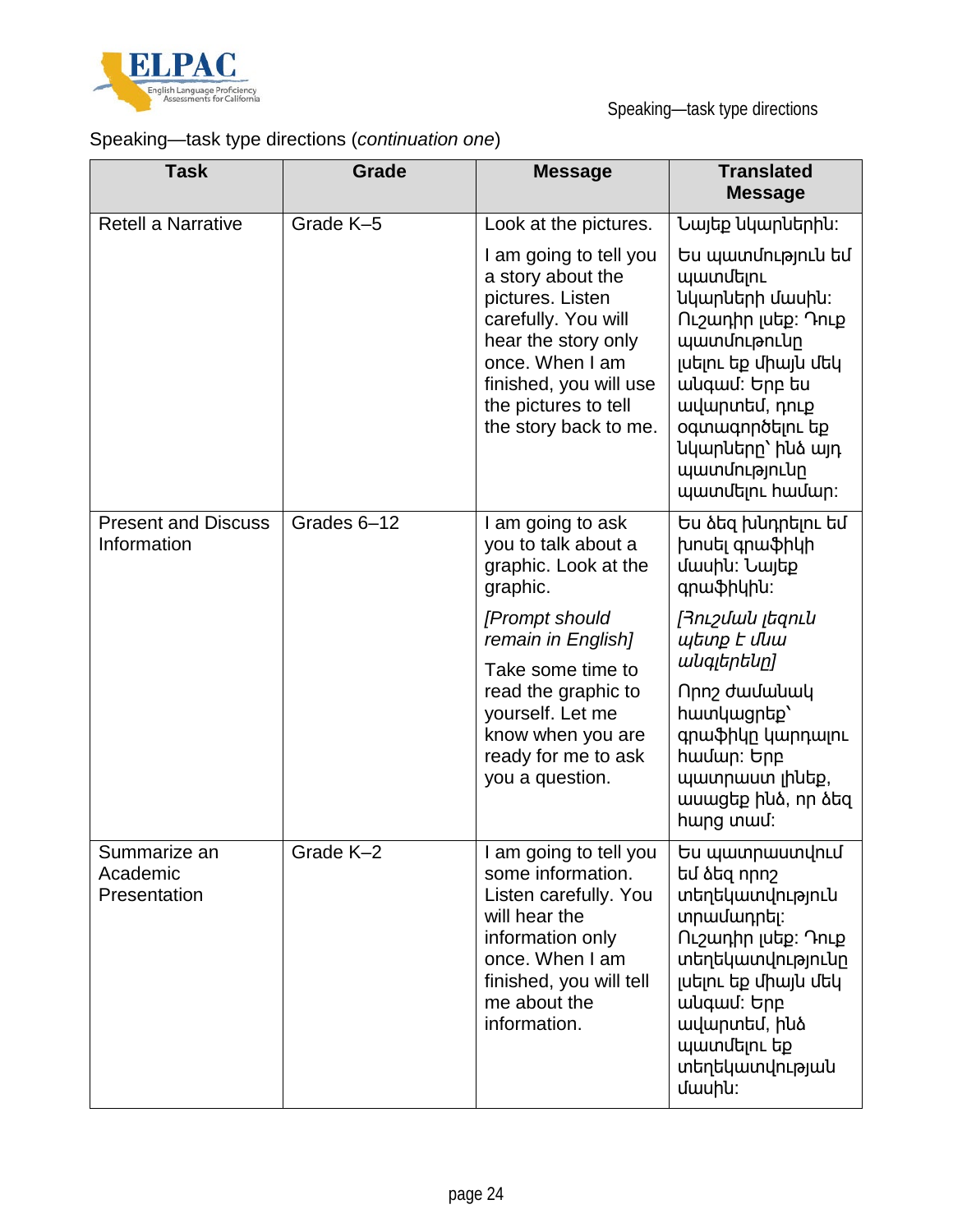![](_page_23_Picture_0.jpeg)

# Speaking—task type directions (*continuation one*)

| <b>Task</b>                               | Grade       | <b>Message</b>                                                                                                                                                                                              | <b>Translated</b><br><b>Message</b>                                                                                                                                                                                         |
|-------------------------------------------|-------------|-------------------------------------------------------------------------------------------------------------------------------------------------------------------------------------------------------------|-----------------------------------------------------------------------------------------------------------------------------------------------------------------------------------------------------------------------------|
| <b>Retell a Narrative</b>                 | Grade K-5   | Look at the pictures.                                                                                                                                                                                       | Նայեք նկարներին։                                                                                                                                                                                                            |
|                                           |             | I am going to tell you<br>a story about the<br>pictures. Listen<br>carefully. You will<br>hear the story only<br>once. When I am<br>finished, you will use<br>the pictures to tell<br>the story back to me. | Ես պատմություն եմ<br>պատմելու<br>նկարների մասին։<br>Ուշադիր լսեք: Դուք<br>պատմութունը<br>լսելու եք միայն մեկ<br>անգամ: Երբ ես<br>ավարտեմ, դուք<br>oqunuqnnotinu tip<br>նկարները` ինձ այդ<br>պատմությունը<br>պատմելու hամար: |
| <b>Present and Discuss</b><br>Information | Grades 6-12 | I am going to ask<br>you to talk about a<br>graphic. Look at the<br>graphic.                                                                                                                                | Ես ձեզ խևդրելու եմ<br>խոսել գրաֆիկի<br>մասին։ Նայեք<br>qnwphyhu:                                                                                                                                                            |
|                                           |             | [Prompt should<br>remain in English]<br>Take some time to<br>read the graphic to<br>yourself. Let me<br>know when you are<br>ready for me to ask<br>you a question.                                         | Յուշման լեզուն<br>պետք Է մնա<br>անգլերենը]                                                                                                                                                                                  |
|                                           |             |                                                                                                                                                                                                             | nn <sub>2</sub> dwuwuu<br>hwunywgntp'<br>գրաֆիկը կարդալու<br>համար: Երբ<br>պատրաստ լինեք,<br>ասացեք իևձ, որ ձեզ<br>hwng unwul:                                                                                              |
| Summarize an<br>Academic<br>Presentation  | Grade K-2   | am going to tell you<br>some information.<br>Listen carefully. You<br>will hear the<br>information only<br>once. When I am<br>finished, you will tell<br>me about the<br>information.                       | Ես պատրաստվում<br>եմ ձեզ որոշ<br>տեղեկատվություն<br>տրամադրել։<br>Ուշադիր լսեք։ Դուք<br>տեղեկատվությունը<br>լսելու եք միայն մեկ<br>wuqwu: bpp<br>ավարտեմ, ինձ<br>պատմելու եք<br>տեղեկատվության<br>dwuhu:                    |